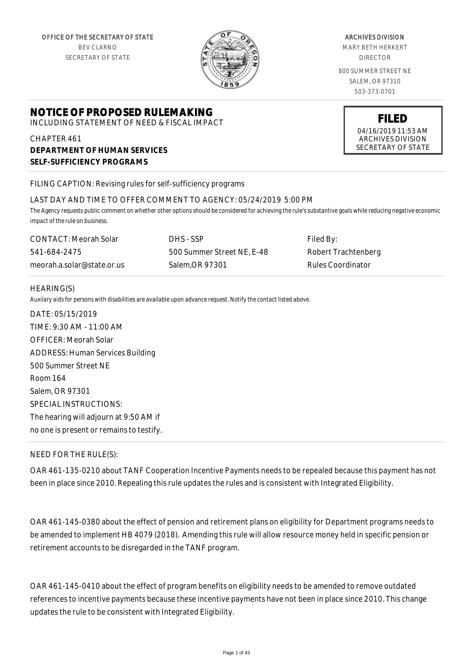

#### ARCHIVES DIVISION

MARY BETH HERKERT DIRECTOR

800 SUMMER STREET NE SALEM, OR 97310 503-373-0701

# **NOTICE OF PROPOSED RULEMAKING**

INCLUDING STATEMENT OF NEED & FISCAL IMPACT

CHAPTER 461 **DEPARTMENT OF HUMAN SERVICES SELF-SUFFICIENCY PROGRAMS**

FILING CAPTION: Revising rules for self-sufficiency programs

### LAST DAY AND TIME TO OFFER COMMENT TO AGENCY: 05/24/2019 5:00 PM

*The Agency requests public comment on whether other options should be considered for achieving the rule's substantive goals while reducing negative economic impact of the rule on business.*

| CONTACT: Meorah Solar      | DHS - SSP                  | Filed By:           |
|----------------------------|----------------------------|---------------------|
| 541-684-2475               | 500 Summer Street NE, E-48 | Robert Trachtenberg |
| meorah.a.solar@state.or.us | Salem.OR 97301             | Rules Coordinator   |

### HEARING(S)

*Auxilary aids for persons with disabilities are available upon advance request. Notify the contact listed above.*

DATE: 05/15/2019 TIME: 9:30 AM - 11:00 AM OFFICER: Meorah Solar ADDRESS: Human Services Building 500 Summer Street NE Room 164 Salem, OR 97301 SPECIAL INSTRUCTIONS: The hearing will adjourn at 9:50 AM if no one is present or remains to testify.

## NEED FOR THE RULE(S):

OAR 461-135-0210 about TANF Cooperation Incentive Payments needs to be repealed because this payment has not been in place since 2010. Repealing this rule updates the rules and is consistent with Integrated Eligibility.

OAR 461-145-0380 about the effect of pension and retirement plans on eligibility for Department programs needs to be amended to implement HB 4079 (2018). Amending this rule will allow resource money held in specific pension or retirement accounts to be disregarded in the TANF program.

OAR 461-145-0410 about the effect of program benefits on eligibility needs to be amended to remove outdated references to incentive payments because these incentive payments have not been in place since 2010. This change updates the rule to be consistent with Integrated Eligibility.

04/16/2019 11:53 AM ARCHIVES DIVISION SECRETARY OF STATE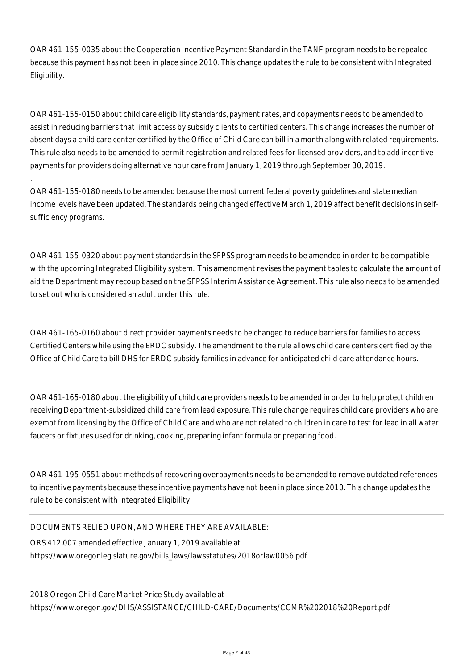OAR 461-155-0035 about the Cooperation Incentive Payment Standard in the TANF program needs to be repealed because this payment has not been in place since 2010. This change updates the rule to be consistent with Integrated Eligibility.

OAR 461-155-0150 about child care eligibility standards, payment rates, and copayments needs to be amended to assist in reducing barriers that limit access by subsidy clients to certified centers. This change increases the number of absent days a child care center certified by the Office of Child Care can bill in a month along with related requirements. This rule also needs to be amended to permit registration and related fees for licensed providers, and to add incentive payments for providers doing alternative hour care from January 1, 2019 through September 30, 2019.

OAR 461-155-0180 needs to be amended because the most current federal poverty guidelines and state median income levels have been updated. The standards being changed effective March 1, 2019 affect benefit decisions in selfsufficiency programs.

OAR 461-155-0320 about payment standards in the SFPSS program needs to be amended in order to be compatible with the upcoming Integrated Eligibility system. This amendment revises the payment tables to calculate the amount of aid the Department may recoup based on the SFPSS Interim Assistance Agreement. This rule also needs to be amended to set out who is considered an adult under this rule.

OAR 461-165-0160 about direct provider payments needs to be changed to reduce barriers for families to access Certified Centers while using the ERDC subsidy. The amendment to the rule allows child care centers certified by the Office of Child Care to bill DHS for ERDC subsidy families in advance for anticipated child care attendance hours.

OAR 461-165-0180 about the eligibility of child care providers needs to be amended in order to help protect children receiving Department-subsidized child care from lead exposure. This rule change requires child care providers who are exempt from licensing by the Office of Child Care and who are not related to children in care to test for lead in all water faucets or fixtures used for drinking, cooking, preparing infant formula or preparing food.

OAR 461-195-0551 about methods of recovering overpayments needs to be amended to remove outdated references to incentive payments because these incentive payments have not been in place since 2010. This change updates the rule to be consistent with Integrated Eligibility.

## DOCUMENTS RELIED UPON, AND WHERE THEY ARE AVAILABLE:

.

ORS 412.007 amended effective January 1, 2019 available at https://www.oregonlegislature.gov/bills\_laws/lawsstatutes/2018orlaw0056.pdf

2018 Oregon Child Care Market Price Study available at https://www.oregon.gov/DHS/ASSISTANCE/CHILD-CARE/Documents/CCMR%202018%20Report.pdf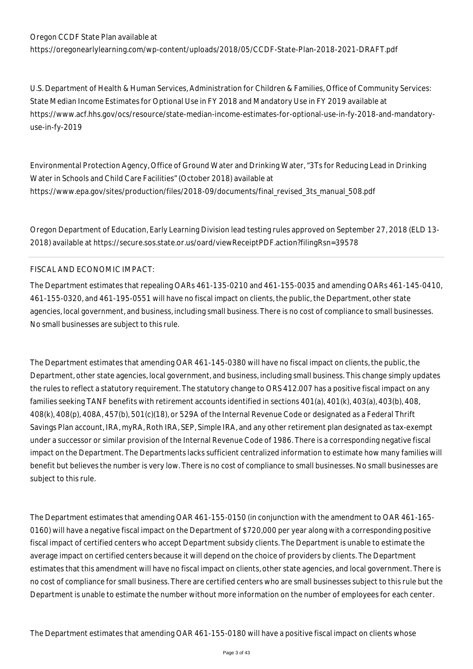https://oregonearlylearning.com/wp-content/uploads/2018/05/CCDF-State-Plan-2018-2021-DRAFT.pdf

U.S. Department of Health & Human Services, Administration for Children & Families, Office of Community Services: State Median Income Estimates for Optional Use in FY 2018 and Mandatory Use in FY 2019 available at https://www.acf.hhs.gov/ocs/resource/state-median-income-estimates-for-optional-use-in-fy-2018-and-mandatoryuse-in-fy-2019

Environmental Protection Agency, Office of Ground Water and Drinking Water, "3Ts for Reducing Lead in Drinking Water in Schools and Child Care Facilities" (October 2018) available at https://www.epa.gov/sites/production/files/2018-09/documents/final\_revised\_3ts\_manual\_508.pdf

Oregon Department of Education, Early Learning Division lead testing rules approved on September 27, 2018 (ELD 13- 2018) available at https://secure.sos.state.or.us/oard/viewReceiptPDF.action?filingRsn=39578

## FISCAL AND ECONOMIC IMPACT:

The Department estimates that repealing OARs 461-135-0210 and 461-155-0035 and amending OARs 461-145-0410, 461-155-0320, and 461-195-0551 will have no fiscal impact on clients, the public, the Department, other state agencies, local government, and business, including small business. There is no cost of compliance to small businesses. No small businesses are subject to this rule.

The Department estimates that amending OAR 461-145-0380 will have no fiscal impact on clients, the public, the Department, other state agencies, local government, and business, including small business. This change simply updates the rules to reflect a statutory requirement. The statutory change to ORS 412.007 has a positive fiscal impact on any families seeking TANF benefits with retirement accounts identified in sections 401(a), 401(k), 403(a), 403(b), 408, 408(k), 408(p), 408A, 457(b), 501(c)(18), or 529A of the Internal Revenue Code or designated as a Federal Thrift Savings Plan account, IRA, myRA, Roth IRA, SEP, Simple IRA, and any other retirement plan designated as tax-exempt under a successor or similar provision of the Internal Revenue Code of 1986. There is a corresponding negative fiscal impact on the Department. The Departments lacks sufficient centralized information to estimate how many families will benefit but believes the number is very low. There is no cost of compliance to small businesses. No small businesses are subject to this rule.

The Department estimates that amending OAR 461-155-0150 (in conjunction with the amendment to OAR 461-165- 0160) will have a negative fiscal impact on the Department of \$720,000 per year along with a corresponding positive fiscal impact of certified centers who accept Department subsidy clients. The Department is unable to estimate the average impact on certified centers because it will depend on the choice of providers by clients. The Department estimates that this amendment will have no fiscal impact on clients, other state agencies, and local government. There is no cost of compliance for small business. There are certified centers who are small businesses subject to this rule but the Department is unable to estimate the number without more information on the number of employees for each center.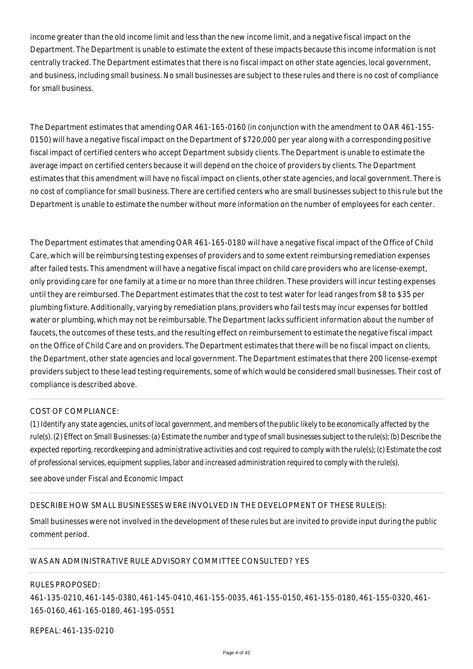income greater than the old income limit and less than the new income limit, and a negative fiscal impact on the Department. The Department is unable to estimate the extent of these impacts because this income information is not centrally tracked. The Department estimates that there is no fiscal impact on other state agencies, local government, and business, including small business. No small businesses are subject to these rules and there is no cost of compliance for small business.

The Department estimates that amending OAR 461-165-0160 (in conjunction with the amendment to OAR 461-155- 0150) will have a negative fiscal impact on the Department of \$720,000 per year along with a corresponding positive fiscal impact of certified centers who accept Department subsidy clients. The Department is unable to estimate the average impact on certified centers because it will depend on the choice of providers by clients. The Department estimates that this amendment will have no fiscal impact on clients, other state agencies, and local government. There is no cost of compliance for small business. There are certified centers who are small businesses subject to this rule but the Department is unable to estimate the number without more information on the number of employees for each center.

The Department estimates that amending OAR 461-165-0180 will have a negative fiscal impact of the Office of Child Care, which will be reimbursing testing expenses of providers and to some extent reimbursing remediation expenses after failed tests. This amendment will have a negative fiscal impact on child care providers who are license-exempt, only providing care for one family at a time or no more than three children. These providers will incur testing expenses until they are reimbursed. The Department estimates that the cost to test water for lead ranges from \$8 to \$35 per plumbing fixture. Additionally, varying by remediation plans, providers who fail tests may incur expenses for bottled water or plumbing, which may not be reimbursable. The Department lacks sufficient information about the number of faucets, the outcomes of these tests, and the resulting effect on reimbursement to estimate the negative fiscal impact on the Office of Child Care and on providers. The Department estimates that there will be no fiscal impact on clients, the Department, other state agencies and local government. The Department estimates that there 200 license-exempt providers subject to these lead testing requirements, some of which would be considered small businesses. Their cost of compliance is described above.

### COST OF COMPLIANCE:

*(1) Identify any state agencies, units of local government, and members of the public likely to be economically affected by the rule(s). (2) Effect on Small Businesses: (a) Estimate the number and type of small businesses subject to the rule(s); (b) Describe the expected reporting, recordkeeping and administrative activities and cost required to comply with the rule(s); (c) Estimate the cost of professional services, equipment supplies, labor and increased administration required to comply with the rule(s).*

see above under Fiscal and Economic Impact

### DESCRIBE HOW SMALL BUSINESSES WERE INVOLVED IN THE DEVELOPMENT OF THESE RULE(S):

Small businesses were not involved in the development of these rules but are invited to provide input during the public comment period.

### WAS AN ADMINISTRATIVE RULE ADVISORY COMMITTEE CONSULTED? YES

### RULES PROPOSED:

461-135-0210, 461-145-0380, 461-145-0410, 461-155-0035, 461-155-0150, 461-155-0180, 461-155-0320, 461- 165-0160, 461-165-0180, 461-195-0551

REPEAL: 461-135-0210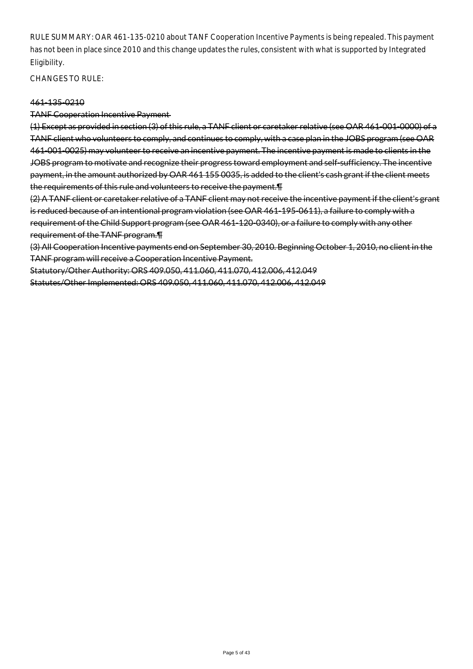RULE SUMMARY: OAR 461-135-0210 about TANF Cooperation Incentive Payments is being repealed. This payment has not been in place since 2010 and this change updates the rules, consistent with what is supported by Integrated Eligibility.

CHANGES TO RULE:

### 461-135-0210

TANF Cooperation Incentive Payment

(1) Except as provided in section (3) of this rule, a TANF client or caretaker relative (see OAR 461-001-0000) of a TANF client who volunteers to comply, and continues to comply, with a case plan in the JOBS program (see OAR 461-001-0025) may volunteer to receive an incentive payment. The incentive payment is made to clients in the JOBS program to motivate and recognize their progress toward employment and self-sufficiency. The incentive payment, in the amount authorized by OAR 461 155 0035, is added to the client's cash grant if the client meets the requirements of this rule and volunteers to receive the payment.¶

(2) A TANF client or caretaker relative of a TANF client may not receive the incentive payment if the client's grant is reduced because of an intentional program violation (see OAR 461-195-0611), a failure to comply with a requirement of the Child Support program (see OAR 461-120-0340), or a failure to comply with any other requirement of the TANF program.¶

(3) All Cooperation Incentive payments end on September 30, 2010. Beginning October 1, 2010, no client in the TANF program will receive a Cooperation Incentive Payment.

Statutory/Other Authority: ORS 409.050, 411.060, 411.070, 412.006, 412.049 Statutes/Other Implemented: ORS 409.050, 411.060, 411.070, 412.006, 412.049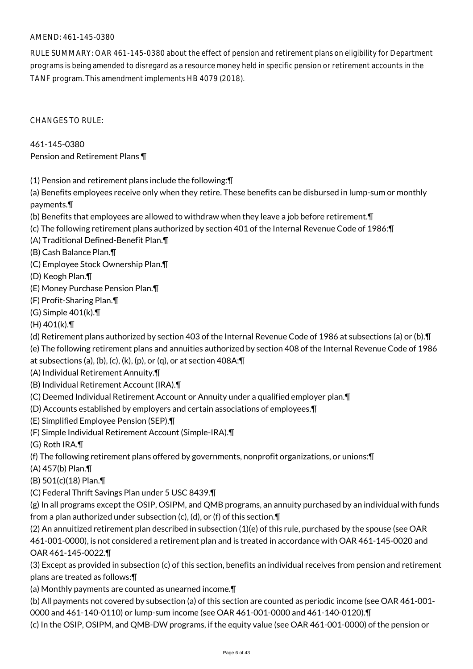## AMEND: 461-145-0380

RULE SUMMARY: OAR 461-145-0380 about the effect of pension and retirement plans on eligibility for Department programs is being amended to disregard as a resource money held in specific pension or retirement accounts in the TANF program. This amendment implements HB 4079 (2018).

CHANGES TO RULE:

461-145-0380 Pension and Retirement Plans ¶

(1) Pension and retirement plans include the following:¶

(a) Benefits employees receive only when they retire. These benefits can be disbursed in lump-sum or monthly payments.¶

- (b) Benefits that employees are allowed to withdraw when they leave a job before retirement.¶
- (c) The following retirement plans authorized by section 401 of the Internal Revenue Code of 1986:¶
- (A) Traditional Defined-Benefit Plan.¶
- (B) Cash Balance Plan.¶
- (C) Employee Stock Ownership Plan.¶
- (D) Keogh Plan.¶
- (E) Money Purchase Pension Plan.¶
- (F) Profit-Sharing Plan.¶
- (G) Simple 401(k).¶
- (H) 401(k).¶
- (d) Retirement plans authorized by section 403 of the Internal Revenue Code of 1986 at subsections (a) or (b).¶
- (e) The following retirement plans and annuities authorized by section 408 of the Internal Revenue Code of 1986
- at subsections (a), (b), (c), (k), (p), or (q), or at section 408A:¶
- (A) Individual Retirement Annuity.¶
- (B) Individual Retirement Account (IRA).¶
- (C) Deemed Individual Retirement Account or Annuity under a qualified employer plan.¶
- (D) Accounts established by employers and certain associations of employees.¶
- (E) Simplified Employee Pension (SEP).¶
- (F) Simple Individual Retirement Account (Simple-IRA).¶
- (G) Roth IRA.¶
- (f) The following retirement plans offered by governments, nonprofit organizations, or unions:¶
- (A) 457(b) Plan.¶
- (B) 501(c)(18) Plan.¶
- (C) Federal Thrift Savings Plan under 5 USC 8439.¶

(g) In all programs except the OSIP, OSIPM, and QMB programs, an annuity purchased by an individual with funds from a plan authorized under subsection (c), (d), or (f) of this section.¶

(2) An annuitized retirement plan described in subsection (1)(e) of this rule, purchased by the spouse (see OAR 461-001-0000), is not considered a retirement plan and is treated in accordance with OAR 461-145-0020 and OAR 461-145-0022.¶

(3) Except as provided in subsection (c) of this section, benefits an individual receives from pension and retirement plans are treated as follows:¶

(a) Monthly payments are counted as unearned income.¶

(b) All payments not covered by subsection (a) of this section are counted as periodic income (see OAR 461-001- 0000 and 461-140-0110) or lump-sum income (see OAR 461-001-0000 and 461-140-0120).¶

(c) In the OSIP, OSIPM, and QMB-DW programs, if the equity value (see OAR 461-001-0000) of the pension or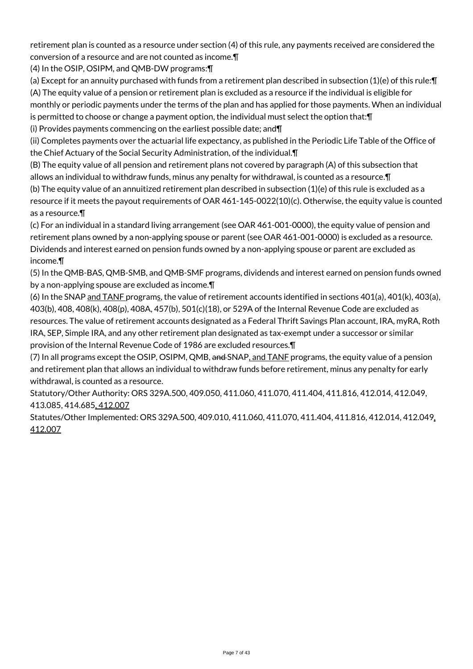retirement plan is counted as a resource under section (4) of this rule, any payments received are considered the conversion of a resource and are not counted as income.¶

(4) In the OSIP, OSIPM, and QMB-DW programs:¶

(a) Except for an annuity purchased with funds from a retirement plan described in subsection (1)(e) of this rule:¶ (A) The equity value of a pension or retirement plan is excluded as a resource if the individual is eligible for monthly or periodic payments under the terms of the plan and has applied for those payments. When an individual is permitted to choose or change a payment option, the individual must select the option that:¶

(i) Provides payments commencing on the earliest possible date; and¶

(ii) Completes payments over the actuarial life expectancy, as published in the Periodic Life Table of the Office of the Chief Actuary of the Social Security Administration, of the individual.¶

(B) The equity value of all pension and retirement plans not covered by paragraph (A) of this subsection that allows an individual to withdraw funds, minus any penalty for withdrawal, is counted as a resource.¶

(b) The equity value of an annuitized retirement plan described in subsection (1)(e) of this rule is excluded as a resource if it meets the payout requirements of OAR 461-145-0022(10)(c). Otherwise, the equity value is counted as a resource.¶

(c) For an individual in a standard living arrangement (see OAR 461-001-0000), the equity value of pension and retirement plans owned by a non-applying spouse or parent (see OAR 461-001-0000) is excluded as a resource. Dividends and interest earned on pension funds owned by a non-applying spouse or parent are excluded as income.¶

(5) In the QMB-BAS, QMB-SMB, and QMB-SMF programs, dividends and interest earned on pension funds owned by a non-applying spouse are excluded as income.¶

(6) In the SNAP and TANF programs, the value of retirement accounts identified in sections  $401(a)$ ,  $401(k)$ ,  $403(a)$ , 403(b), 408, 408(k), 408(p), 408A, 457(b), 501(c)(18), or 529A of the Internal Revenue Code are excluded as resources. The value of retirement accounts designated as a Federal Thrift Savings Plan account, IRA, myRA, Roth IRA, SEP, Simple IRA, and any other retirement plan designated as tax-exempt under a successor or similar provision of the Internal Revenue Code of 1986 are excluded resources.¶

(7) In all programs except the OSIP, OSIPM, QMB, and SNAP, and TANF programs, the equity value of a pension and retirement plan that allows an individual to withdraw funds before retirement, minus any penalty for early withdrawal, is counted as a resource.

Statutory/Other Authority: ORS 329A.500, 409.050, 411.060, 411.070, 411.404, 411.816, 412.014, 412.049, 413.085, 414.685, 412.007

Statutes/Other Implemented: ORS 329A.500, 409.010, 411.060, 411.070, 411.404, 411.816, 412.014, 412.049, 412.007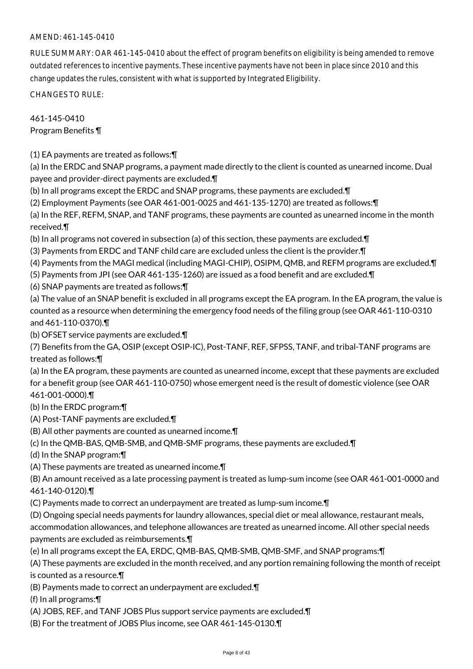## AMEND: 461-145-0410

RULE SUMMARY: OAR 461-145-0410 about the effect of program benefits on eligibility is being amended to remove outdated references to incentive payments. These incentive payments have not been in place since 2010 and this change updates the rules, consistent with what is supported by Integrated Eligibility.

CHANGES TO RULE:

461-145-0410 Program Benefits ¶

(1) EA payments are treated as follows:¶

(a) In the ERDC and SNAP programs, a payment made directly to the client is counted as unearned income. Dual payee and provider-direct payments are excluded.¶

(b) In all programs except the ERDC and SNAP programs, these payments are excluded.¶

(2) Employment Payments (see OAR 461-001-0025 and 461-135-1270) are treated as follows:¶

(a) In the REF, REFM, SNAP, and TANF programs, these payments are counted as unearned income in the month received.¶

(b) In all programs not covered in subsection (a) of this section, these payments are excluded.¶

(3) Payments from ERDC and TANF child care are excluded unless the client is the provider.¶

(4) Payments from the MAGI medical (including MAGI-CHIP), OSIPM, QMB, and REFM programs are excluded.¶

(5) Payments from JPI (see OAR 461-135-1260) are issued as a food benefit and are excluded.¶

(6) SNAP payments are treated as follows:¶

(a) The value of an SNAP benefit is excluded in all programs except the EA program. In the EA program, the value is counted as a resource when determining the emergency food needs of the filing group (see OAR 461-110-0310 and 461-110-0370).¶

(b) OFSET service payments are excluded.¶

(7) Benefits from the GA, OSIP (except OSIP-IC), Post-TANF, REF, SFPSS, TANF, and tribal-TANF programs are treated as follows:¶

(a) In the EA program, these payments are counted as unearned income, except that these payments are excluded for a benefit group (see OAR 461-110-0750) whose emergent need is the result of domestic violence (see OAR 461-001-0000).¶

(b) In the ERDC program:¶

(A) Post-TANF payments are excluded.¶

(B) All other payments are counted as unearned income.¶

(c) In the QMB-BAS, QMB-SMB, and QMB-SMF programs, these payments are excluded.¶

(d) In the SNAP program:¶

(A) These payments are treated as unearned income.¶

(B) An amount received as a late processing payment is treated as lump-sum income (see OAR 461-001-0000 and 461-140-0120).¶

(C) Payments made to correct an underpayment are treated as lump-sum income.¶

(D) Ongoing special needs payments for laundry allowances, special diet or meal allowance, restaurant meals,

accommodation allowances, and telephone allowances are treated as unearned income. All other special needs payments are excluded as reimbursements.¶

(e) In all programs except the EA, ERDC, QMB-BAS, QMB-SMB, QMB-SMF, and SNAP programs:¶

(A) These payments are excluded in the month received, and any portion remaining following the month of receipt is counted as a resource.¶

(B) Payments made to correct an underpayment are excluded.¶

(f) In all programs:¶

(A) JOBS, REF, and TANF JOBS Plus support service payments are excluded.¶

(B) For the treatment of JOBS Plus income, see OAR 461-145-0130.¶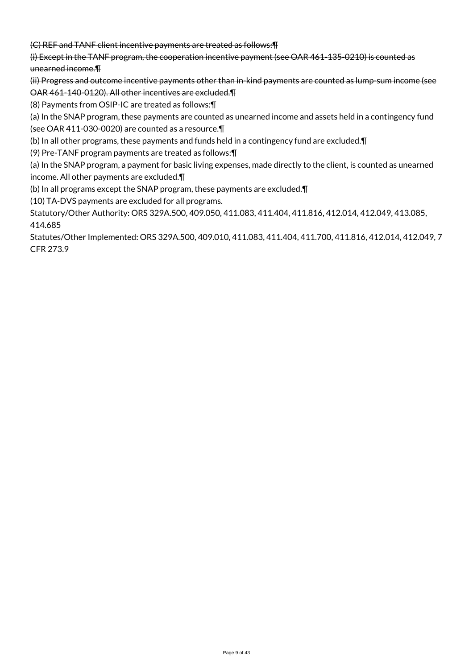(C) REF and TANF client incentive payments are treated as follows:¶

(i) Except in the TANF program, the cooperation incentive payment (see OAR 461-135-0210) is counted as unearned income.¶

(ii) Progress and outcome incentive payments other than in-kind payments are counted as lump-sum income (see OAR 461-140-0120). All other incentives are excluded.¶

(8) Payments from OSIP-IC are treated as follows:¶

(a) In the SNAP program, these payments are counted as unearned income and assets held in a contingency fund (see OAR 411-030-0020) are counted as a resource.¶

(b) In all other programs, these payments and funds held in a contingency fund are excluded.¶

(9) Pre-TANF program payments are treated as follows:¶

(a) In the SNAP program, a payment for basic living expenses, made directly to the client, is counted as unearned income. All other payments are excluded.¶

(b) In all programs except the SNAP program, these payments are excluded.¶

(10) TA-DVS payments are excluded for all programs.

Statutory/Other Authority: ORS 329A.500, 409.050, 411.083, 411.404, 411.816, 412.014, 412.049, 413.085, 414.685

Statutes/Other Implemented: ORS 329A.500, 409.010, 411.083, 411.404, 411.700, 411.816, 412.014, 412.049, 7 CFR 273.9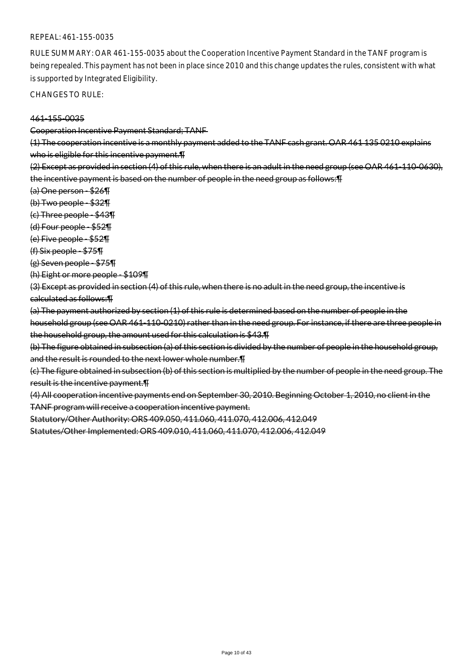### REPEAL: 461-155-0035

RULE SUMMARY: OAR 461-155-0035 about the Cooperation Incentive Payment Standard in the TANF program is being repealed. This payment has not been in place since 2010 and this change updates the rules, consistent with what is supported by Integrated Eligibility.

CHANGES TO RULE:

#### 461-155-0035

#### Cooperation Incentive Payment Standard; TANF

(1) The cooperation incentive is a monthly payment added to the TANF cash grant. OAR 461 135 0210 explains who is eligible for this incentive payment.¶

(2) Except as provided in section (4) of this rule, when there is an adult in the need group (see OAR 461-110-0630), the incentive payment is based on the number of people in the need group as follows:¶

- (a) One person \$26¶
- (b) Two people \$32¶
- (c) Three people \$43¶
- (d) Four people \$52¶
- (e) Five people \$52¶
- (f) Six people \$75¶
- (g) Seven people \$75¶
- (h) Eight or more people \$109¶

(3) Except as provided in section (4) of this rule, when there is no adult in the need group, the incentive is calculated as follows:¶

(a) The payment authorized by section (1) of this rule is determined based on the number of people in the household group (see OAR 461-110-0210) rather than in the need group. For instance, if there are three people in the household group, the amount used for this calculation is \$43.¶

(b) The figure obtained in subsection (a) of this section is divided by the number of people in the household group, and the result is rounded to the next lower whole number.¶

(c) The figure obtained in subsection (b) of this section is multiplied by the number of people in the need group. The result is the incentive payment.¶

(4) All cooperation incentive payments end on September 30, 2010. Beginning October 1, 2010, no client in the TANF program will receive a cooperation incentive payment.

Statutory/Other Authority: ORS 409.050, 411.060, 411.070, 412.006, 412.049

Statutes/Other Implemented: ORS 409.010, 411.060, 411.070, 412.006, 412.049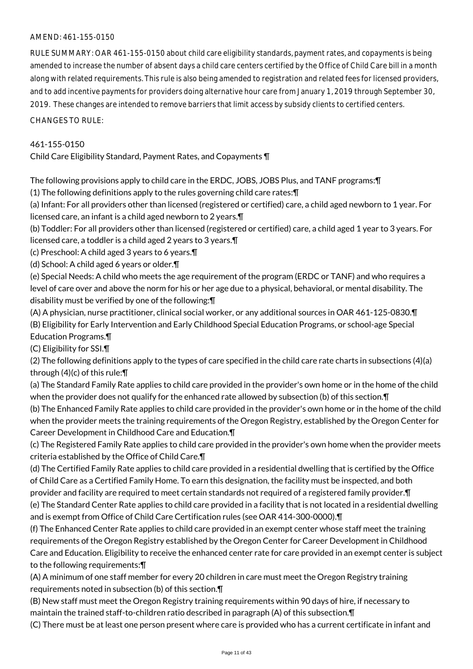## AMEND: 461-155-0150

RULE SUMMARY: OAR 461-155-0150 about child care eligibility standards, payment rates, and copayments is being amended to increase the number of absent days a child care centers certified by the Office of Child Care bill in a month along with related requirements. This rule is also being amended to registration and related fees for licensed providers, and to add incentive payments for providers doing alternative hour care from January 1, 2019 through September 30, 2019. These changes are intended to remove barriers that limit access by subsidy clients to certified centers.

CHANGES TO RULE:

## 461-155-0150

Child Care Eligibility Standard, Payment Rates, and Copayments ¶

The following provisions apply to child care in the ERDC, JOBS, JOBS Plus, and TANF programs:¶

(1) The following definitions apply to the rules governing child care rates:¶

(a) Infant: For all providers other than licensed (registered or certified) care, a child aged newborn to 1 year. For licensed care, an infant is a child aged newborn to 2 years.¶

(b) Toddler: For all providers other than licensed (registered or certified) care, a child aged 1 year to 3 years. For licensed care, a toddler is a child aged 2 years to 3 years.¶

(c) Preschool: A child aged 3 years to 6 years.¶

(d) School: A child aged 6 years or older.¶

(e) Special Needs: A child who meets the age requirement of the program (ERDC or TANF) and who requires a level of care over and above the norm for his or her age due to a physical, behavioral, or mental disability. The disability must be verified by one of the following:¶

(A) A physician, nurse practitioner, clinical social worker, or any additional sources in OAR 461-125-0830.¶ (B) Eligibility for Early Intervention and Early Childhood Special Education Programs, or school-age Special Education Programs.¶

(C) Eligibility for SSI.¶

(2) The following definitions apply to the types of care specified in the child care rate charts in subsections (4)(a) through (4)(c) of this rule:¶

(a) The Standard Family Rate applies to child care provided in the provider's own home or in the home of the child when the provider does not qualify for the enhanced rate allowed by subsection (b) of this section.¶

(b) The Enhanced Family Rate applies to child care provided in the provider's own home or in the home of the child when the provider meets the training requirements of the Oregon Registry, established by the Oregon Center for Career Development in Childhood Care and Education.¶

(c) The Registered Family Rate applies to child care provided in the provider's own home when the provider meets criteria established by the Office of Child Care.¶

(d) The Certified Family Rate applies to child care provided in a residential dwelling that is certified by the Office of Child Care as a Certified Family Home. To earn this designation, the facility must be inspected, and both provider and facility are required to meet certain standards not required of a registered family provider. In

(e) The Standard Center Rate applies to child care provided in a facility that is not located in a residential dwelling and is exempt from Office of Child Care Certification rules (see OAR 414-300-0000).¶

(f) The Enhanced Center Rate applies to child care provided in an exempt center whose staff meet the training requirements of the Oregon Registry established by the Oregon Center for Career Development in Childhood Care and Education. Eligibility to receive the enhanced center rate for care provided in an exempt center is subject to the following requirements:¶

(A) A minimum of one staff member for every 20 children in care must meet the Oregon Registry training requirements noted in subsection (b) of this section.¶

(B) New staff must meet the Oregon Registry training requirements within 90 days of hire, if necessary to maintain the trained staff-to-children ratio described in paragraph (A) of this subsection.¶

(C) There must be at least one person present where care is provided who has a current certificate in infant and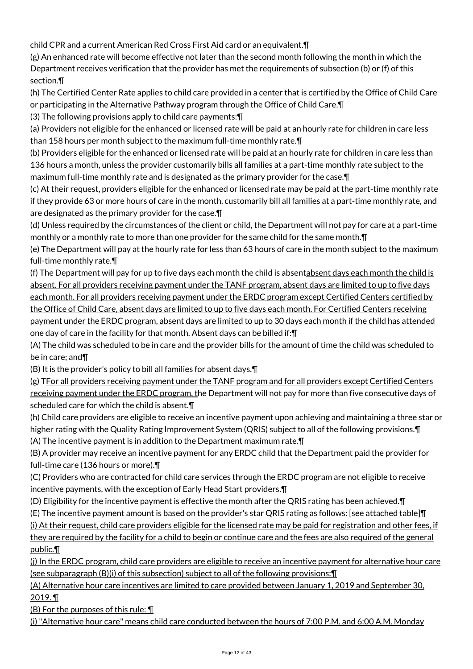child CPR and a current American Red Cross First Aid card or an equivalent.¶

(g) An enhanced rate will become effective not later than the second month following the month in which the Department receives verification that the provider has met the requirements of subsection (b) or (f) of this section.¶

(h) The Certified Center Rate applies to child care provided in a center that is certified by the Office of Child Care or participating in the Alternative Pathway program through the Office of Child Care.¶

(3) The following provisions apply to child care payments:¶

(a) Providers not eligible for the enhanced or licensed rate will be paid at an hourly rate for children in care less than 158 hours per month subject to the maximum full-time monthly rate.¶

(b) Providers eligible for the enhanced or licensed rate will be paid at an hourly rate for children in care less than 136 hours a month, unless the provider customarily bills all families at a part-time monthly rate subject to the maximum full-time monthly rate and is designated as the primary provider for the case.¶

(c) At their request, providers eligible for the enhanced or licensed rate may be paid at the part-time monthly rate if they provide 63 or more hours of care in the month, customarily bill all families at a part-time monthly rate, and are designated as the primary provider for the case.¶

(d) Unless required by the circumstances of the client or child, the Department will not pay for care at a part-time monthly or a monthly rate to more than one provider for the same child for the same month.¶

(e) The Department will pay at the hourly rate for less than 63 hours of care in the month subject to the maximum full-time monthly rate.¶

(f) The Department will pay for up to five days each month the child is absentabsent days each month the child is absent. For all providers receiving payment under the TANF program, absent days are limited to up to five days each month. For all providers receiving payment under the ERDC program except Certified Centers certified by the Office of Child Care, absent days are limited to up to five days each month. For Certified Centers receiving payment under the ERDC program, absent days are limited to up to 30 days each month if the child has attended one day of care in the facility for that month. Absent days can be billed if:¶

(A) The child was scheduled to be in care and the provider bills for the amount of time the child was scheduled to be in care; and¶

(B) It is the provider's policy to bill all families for absent days.¶

(g) **TFor all providers receiving payment under the TANF program and for all providers except Certified Centers** receiving payment under the ERDC program, the Department will not pay for more than five consecutive days of scheduled care for which the child is absent.¶

(h) Child care providers are eligible to receive an incentive payment upon achieving and maintaining a three star or higher rating with the Quality Rating Improvement System (QRIS) subject to all of the following provisions.¶ (A) The incentive payment is in addition to the Department maximum rate.¶

(B) A provider may receive an incentive payment for any ERDC child that the Department paid the provider for full-time care (136 hours or more).¶

(C) Providers who are contracted for child care services through the ERDC program are not eligible to receive incentive payments, with the exception of Early Head Start providers.¶

(D) Eligibility for the incentive payment is effective the month after the QRIS rating has been achieved.¶

(E) The incentive payment amount is based on the provider's star QRIS rating as follows: [see attached table]¶ (i) At their request, child care providers eligible for the licensed rate may be paid for registration and other fees, if they are required by the facility for a child to begin or continue care and the fees are also required of the general public.¶

(j) In the ERDC program, child care providers are eligible to receive an incentive payment for alternative hour care (see subparagraph (B)(i) of this subsection) subject to all of the following provisions:¶

(A) Alternative hour care incentives are limited to care provided between January 1, 2019 and September 30, 2019. ¶

 $(B)$  For the purposes of this rule:  $\P$ 

(i) "Alternative hour care" means child care conducted between the hours of 7:00 P.M. and 6:00 A.M. Monday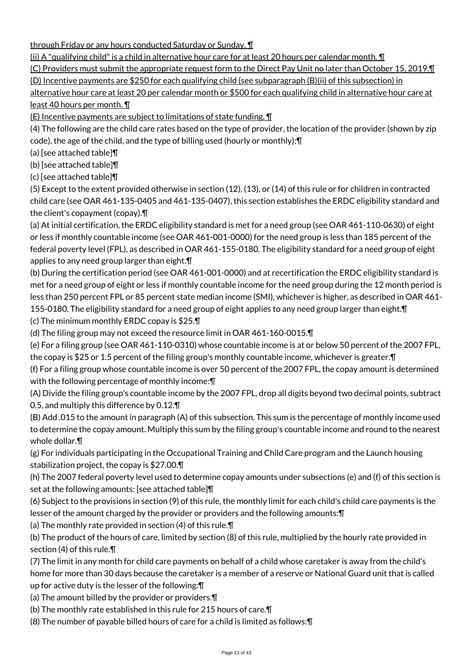through Friday or any hours conducted Saturday or Sunday. ¶

(ii) A "qualifying child" is a child in alternative hour care for at least 20 hours per calendar month. ¶

(C) Providers must submit the appropriate request form to the Direct Pay Unit no later than October 15, 2019.¶ (D) Incentive payments are \$250 for each qualifying child (see subparagraph (B)(ii) of this subsection) in

alternative hour care at least 20 per calendar month or \$500 for each qualifying child in alternative hour care at least 40 hours per month. ¶

(E) Incentive payments are subject to limitations of state funding. ¶

(4) The following are the child care rates based on the type of provider, the location of the provider (shown by zip code), the age of the child, and the type of billing used (hourly or monthly):¶

(a) [see attached table]¶

(b) [see attached table]¶

(c) [see attached table]¶

(5) Except to the extent provided otherwise in section (12), (13), or (14) of this rule or for children in contracted child care (see OAR 461-135-0405 and 461-135-0407), this section establishes the ERDC eligibility standard and the client's copayment (copay).¶

(a) At initial certification, the ERDC eligibility standard is met for a need group (see OAR 461-110-0630) of eight or less if monthly countable income (see OAR 461-001-0000) for the need group is less than 185 percent of the federal poverty level (FPL), as described in OAR 461-155-0180. The eligibility standard for a need group of eight applies to any need group larger than eight.¶

(b) During the certification period (see OAR 461-001-0000) and at recertification the ERDC eligibility standard is met for a need group of eight or less if monthly countable income for the need group during the 12 month period is less than 250 percent FPL or 85 percent state median income (SMI), whichever is higher, as described in OAR 461- 155-0180. The eligibility standard for a need group of eight applies to any need group larger than eight. In

(c) The minimum monthly ERDC copay is \$25.¶

(d) The filing group may not exceed the resource limit in OAR 461-160-0015.¶

(e) For a filing group (see OAR 461-110-0310) whose countable income is at or below 50 percent of the 2007 FPL, the copay is \$25 or 1.5 percent of the filing group's monthly countable income, whichever is greater.¶

(f) For a filing group whose countable income is over 50 percent of the 2007 FPL, the copay amount is determined with the following percentage of monthly income:¶

(A) Divide the filing group's countable income by the 2007 FPL, drop all digits beyond two decimal points, subtract 0.5, and multiply this difference by 0.12.¶

(B) Add .015 to the amount in paragraph (A) of this subsection. This sum is the percentage of monthly income used to determine the copay amount. Multiply this sum by the filing group's countable income and round to the nearest whole dollar.¶

(g) For individuals participating in the Occupational Training and Child Care program and the Launch housing stabilization project, the copay is \$27.00.¶

(h) The 2007 federal poverty level used to determine copay amounts under subsections (e) and (f) of this section is set at the following amounts: [see attached table]¶

(6) Subject to the provisions in section (9) of this rule, the monthly limit for each child's child care payments is the lesser of the amount charged by the provider or providers and the following amounts:¶

(a) The monthly rate provided in section (4) of this rule.¶

(b) The product of the hours of care, limited by section (8) of this rule, multiplied by the hourly rate provided in section (4) of this rule.¶

(7) The limit in any month for child care payments on behalf of a child whose caretaker is away from the child's home for more than 30 days because the caretaker is a member of a reserve or National Guard unit that is called up for active duty is the lesser of the following:¶

(a) The amount billed by the provider or providers.¶

(b) The monthly rate established in this rule for 215 hours of care.¶

(8) The number of payable billed hours of care for a child is limited as follows:¶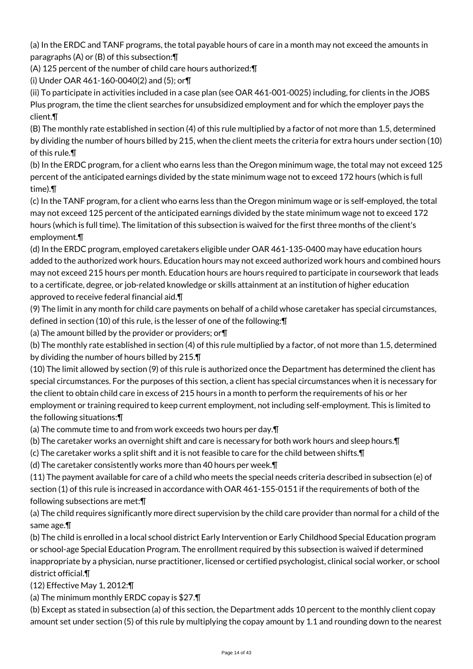(a) In the ERDC and TANF programs, the total payable hours of care in a month may not exceed the amounts in paragraphs (A) or (B) of this subsection:¶

(A) 125 percent of the number of child care hours authorized:¶

(i) Under OAR 461-160-0040(2) and (5); or¶

(ii) To participate in activities included in a case plan (see OAR 461-001-0025) including, for clients in the JOBS Plus program, the time the client searches for unsubsidized employment and for which the employer pays the client.¶

(B) The monthly rate established in section (4) of this rule multiplied by a factor of not more than 1.5, determined by dividing the number of hours billed by 215, when the client meets the criteria for extra hours under section (10) of this rule.¶

(b) In the ERDC program, for a client who earns less than the Oregon minimum wage, the total may not exceed 125 percent of the anticipated earnings divided by the state minimum wage not to exceed 172 hours (which is full time).¶

(c) In the TANF program, for a client who earns less than the Oregon minimum wage or is self-employed, the total may not exceed 125 percent of the anticipated earnings divided by the state minimum wage not to exceed 172 hours (which is full time). The limitation of this subsection is waived for the first three months of the client's employment.¶

(d) In the ERDC program, employed caretakers eligible under OAR 461-135-0400 may have education hours added to the authorized work hours. Education hours may not exceed authorized work hours and combined hours may not exceed 215 hours per month. Education hours are hours required to participate in coursework that leads to a certificate, degree, or job-related knowledge or skills attainment at an institution of higher education approved to receive federal financial aid.¶

(9) The limit in any month for child care payments on behalf of a child whose caretaker has special circumstances, defined in section (10) of this rule, is the lesser of one of the following:¶

(a) The amount billed by the provider or providers; or¶

(b) The monthly rate established in section (4) of this rule multiplied by a factor, of not more than 1.5, determined by dividing the number of hours billed by 215.¶

(10) The limit allowed by section (9) of this rule is authorized once the Department has determined the client has special circumstances. For the purposes of this section, a client has special circumstances when it is necessary for the client to obtain child care in excess of 215 hours in a month to perform the requirements of his or her employment or training required to keep current employment, not including self-employment. This is limited to the following situations:¶

(a) The commute time to and from work exceeds two hours per day.¶

(b) The caretaker works an overnight shift and care is necessary for both work hours and sleep hours.¶

(c) The caretaker works a split shift and it is not feasible to care for the child between shifts.¶

(d) The caretaker consistently works more than 40 hours per week.¶

(11) The payment available for care of a child who meets the special needs criteria described in subsection (e) of section (1) of this rule is increased in accordance with OAR 461-155-0151 if the requirements of both of the following subsections are met:¶

(a) The child requires significantly more direct supervision by the child care provider than normal for a child of the same age.¶

(b) The child is enrolled in a local school district Early Intervention or Early Childhood Special Education program or school-age Special Education Program. The enrollment required by this subsection is waived if determined inappropriate by a physician, nurse practitioner, licensed or certified psychologist, clinical social worker, or school district official.¶

(12) Effective May 1, 2012:¶

(a) The minimum monthly ERDC copay is \$27.¶

(b) Except as stated in subsection (a) of this section, the Department adds 10 percent to the monthly client copay amount set under section (5) of this rule by multiplying the copay amount by 1.1 and rounding down to the nearest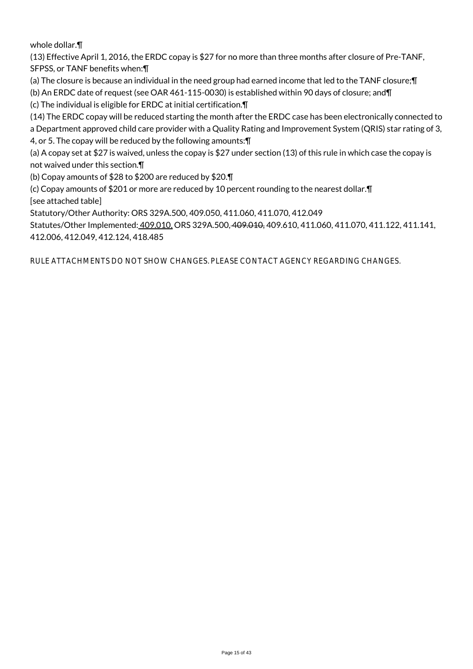whole dollar.¶

(13) Effective April 1, 2016, the ERDC copay is \$27 for no more than three months after closure of Pre-TANF, SFPSS, or TANF benefits when:¶

(a) The closure is because an individual in the need group had earned income that led to the TANF closure;¶

(b) An ERDC date of request (see OAR 461-115-0030) is established within 90 days of closure; and¶

(c) The individual is eligible for ERDC at initial certification.¶

(14) The ERDC copay will be reduced starting the month after the ERDC case has been electronically connected to a Department approved child care provider with a Quality Rating and Improvement System (QRIS) star rating of 3, 4, or 5. The copay will be reduced by the following amounts:¶

(a) A copay set at \$27 is waived, unless the copay is \$27 under section (13) of this rule in which case the copay is not waived under this section.¶

(b) Copay amounts of \$28 to \$200 are reduced by \$20.¶

(c) Copay amounts of \$201 or more are reduced by 10 percent rounding to the nearest dollar.¶ [see attached table]

Statutory/Other Authority: ORS 329A.500, 409.050, 411.060, 411.070, 412.049

Statutes/Other Implemented: 409.010, ORS 329A.500, 409.010, 409.610, 411.060, 411.070, 411.122, 411.141, 412.006, 412.049, 412.124, 418.485

RULE ATTACHMENTS DO NOT SHOW CHANGES. PLEASE CONTACT AGENCY REGARDING CHANGES.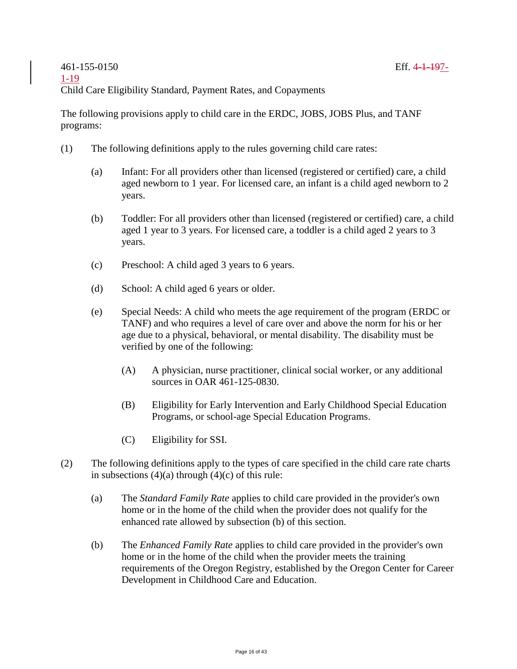The following provisions apply to child care in the ERDC, JOBS, JOBS Plus, and TANF programs:

- (1) The following definitions apply to the rules governing child care rates:
	- (a) Infant: For all providers other than licensed (registered or certified) care, a child aged newborn to 1 year. For licensed care, an infant is a child aged newborn to 2 years.
	- (b) Toddler: For all providers other than licensed (registered or certified) care, a child aged 1 year to 3 years. For licensed care, a toddler is a child aged 2 years to 3 years.
	- (c) Preschool: A child aged 3 years to 6 years.
	- (d) School: A child aged 6 years or older.
	- (e) Special Needs: A child who meets the age requirement of the program (ERDC or TANF) and who requires a level of care over and above the norm for his or her age due to a physical, behavioral, or mental disability. The disability must be verified by one of the following:
		- (A) A physician, nurse practitioner, clinical social worker, or any additional sources in OAR 461-125-0830.
		- (B) Eligibility for Early Intervention and Early Childhood Special Education Programs, or school-age Special Education Programs.
		- (C) Eligibility for SSI.
- (2) The following definitions apply to the types of care specified in the child care rate charts in subsections  $(4)(a)$  through  $(4)(c)$  of this rule:
	- (a) The *Standard Family Rate* applies to child care provided in the provider's own home or in the home of the child when the provider does not qualify for the enhanced rate allowed by subsection (b) of this section.
	- (b) The *Enhanced Family Rate* applies to child care provided in the provider's own home or in the home of the child when the provider meets the training requirements of the Oregon Registry, established by the Oregon Center for Career Development in Childhood Care and Education.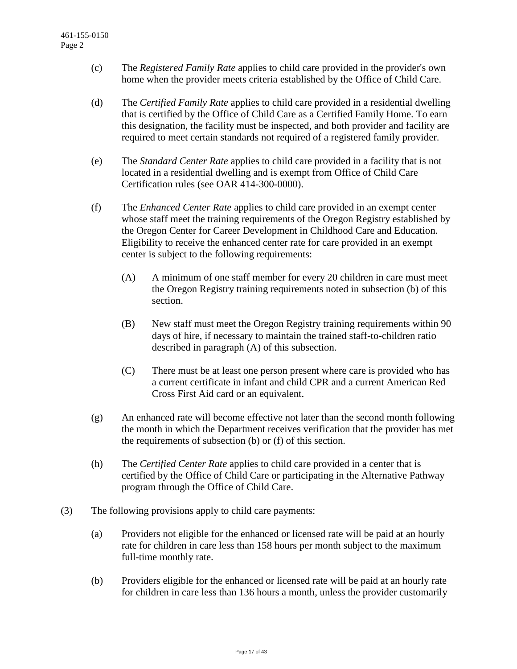- (c) The *Registered Family Rate* applies to child care provided in the provider's own home when the provider meets criteria established by the Office of Child Care.
- (d) The *Certified Family Rate* applies to child care provided in a residential dwelling that is certified by the Office of Child Care as a Certified Family Home. To earn this designation, the facility must be inspected, and both provider and facility are required to meet certain standards not required of a registered family provider.
- (e) The *Standard Center Rate* applies to child care provided in a facility that is not located in a residential dwelling and is exempt from Office of Child Care Certification rules (see OAR 414-300-0000).
- (f) The *Enhanced Center Rate* applies to child care provided in an exempt center whose staff meet the training requirements of the Oregon Registry established by the Oregon Center for Career Development in Childhood Care and Education. Eligibility to receive the enhanced center rate for care provided in an exempt center is subject to the following requirements:
	- (A) A minimum of one staff member for every 20 children in care must meet the Oregon Registry training requirements noted in subsection (b) of this section.
	- (B) New staff must meet the Oregon Registry training requirements within 90 days of hire, if necessary to maintain the trained staff-to-children ratio described in paragraph (A) of this subsection.
	- (C) There must be at least one person present where care is provided who has a current certificate in infant and child CPR and a current American Red Cross First Aid card or an equivalent.
- (g) An enhanced rate will become effective not later than the second month following the month in which the Department receives verification that the provider has met the requirements of subsection (b) or (f) of this section.
- (h) The *Certified Center Rate* applies to child care provided in a center that is certified by the Office of Child Care or participating in the Alternative Pathway program through the Office of Child Care.
- (3) The following provisions apply to child care payments:
	- (a) Providers not eligible for the enhanced or licensed rate will be paid at an hourly rate for children in care less than 158 hours per month subject to the maximum full-time monthly rate.
	- (b) Providers eligible for the enhanced or licensed rate will be paid at an hourly rate for children in care less than 136 hours a month, unless the provider customarily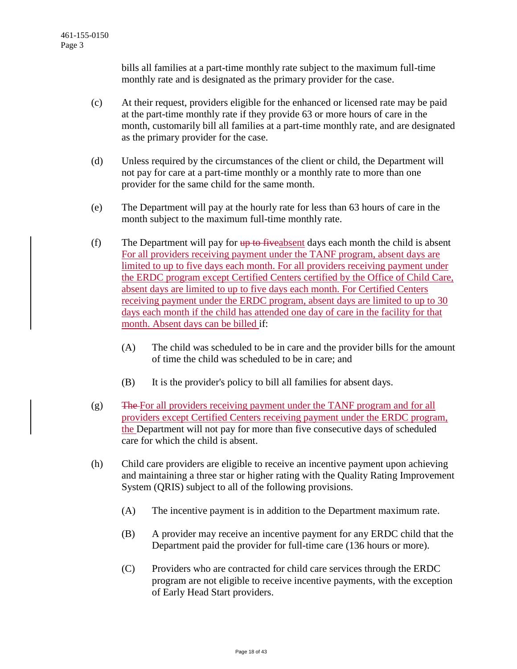bills all families at a part-time monthly rate subject to the maximum full-time monthly rate and is designated as the primary provider for the case.

- (c) At their request, providers eligible for the enhanced or licensed rate may be paid at the part-time monthly rate if they provide 63 or more hours of care in the month, customarily bill all families at a part-time monthly rate, and are designated as the primary provider for the case.
- (d) Unless required by the circumstances of the client or child, the Department will not pay for care at a part-time monthly or a monthly rate to more than one provider for the same child for the same month.
- (e) The Department will pay at the hourly rate for less than 63 hours of care in the month subject to the maximum full-time monthly rate.
- (f) The Department will pay for  $\theta$  to five absent days each month the child is absent For all providers receiving payment under the TANF program, absent days are limited to up to five days each month. For all providers receiving payment under the ERDC program except Certified Centers certified by the Office of Child Care, absent days are limited to up to five days each month. For Certified Centers receiving payment under the ERDC program, absent days are limited to up to 30 days each month if the child has attended one day of care in the facility for that month. Absent days can be billed if:
	- (A) The child was scheduled to be in care and the provider bills for the amount of time the child was scheduled to be in care; and
	- (B) It is the provider's policy to bill all families for absent days.
- (g) The For all providers receiving payment under the TANF program and for all providers except Certified Centers receiving payment under the ERDC program, the Department will not pay for more than five consecutive days of scheduled care for which the child is absent.
- (h) Child care providers are eligible to receive an incentive payment upon achieving and maintaining a three star or higher rating with the Quality Rating Improvement System (QRIS) subject to all of the following provisions.
	- (A) The incentive payment is in addition to the Department maximum rate.
	- (B) A provider may receive an incentive payment for any ERDC child that the Department paid the provider for full-time care (136 hours or more).
	- (C) Providers who are contracted for child care services through the ERDC program are not eligible to receive incentive payments, with the exception of Early Head Start providers.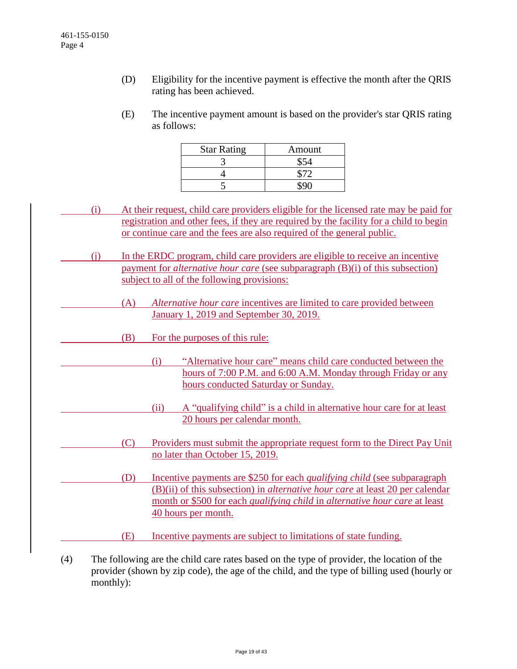- (D) Eligibility for the incentive payment is effective the month after the QRIS rating has been achieved.
- (E) The incentive payment amount is based on the provider's star QRIS rating as follows:

| <b>Star Rating</b> | Amount |
|--------------------|--------|
|                    |        |
|                    |        |
|                    |        |

- (i) At their request, child care providers eligible for the licensed rate may be paid for registration and other fees, if they are required by the facility for a child to begin or continue care and the fees are also required of the general public.
- (j) In the ERDC program, child care providers are eligible to receive an incentive payment for *alternative hour care* (see subparagraph (B)(i) of this subsection) subject to all of the following provisions:
	- (A) *Alternative hour care* incentives are limited to care provided between January 1, 2019 and September 30, 2019.
	- (B) For the purposes of this rule:
		- (i) "Alternative hour care" means child care conducted between the hours of 7:00 P.M. and 6:00 A.M. Monday through Friday or any hours conducted Saturday or Sunday.
		- (ii) A "qualifying child" is a child in alternative hour care for at least 20 hours per calendar month.
	- (C) Providers must submit the appropriate request form to the Direct Pay Unit no later than October 15, 2019.
	- (D) Incentive payments are \$250 for each *qualifying child* (see subparagraph (B)(ii) of this subsection) in *alternative hour care* at least 20 per calendar month or \$500 for each *qualifying child* in *alternative hour care* at least 40 hours per month.
	- (E) Incentive payments are subject to limitations of state funding.
- (4) The following are the child care rates based on the type of provider, the location of the provider (shown by zip code), the age of the child, and the type of billing used (hourly or monthly):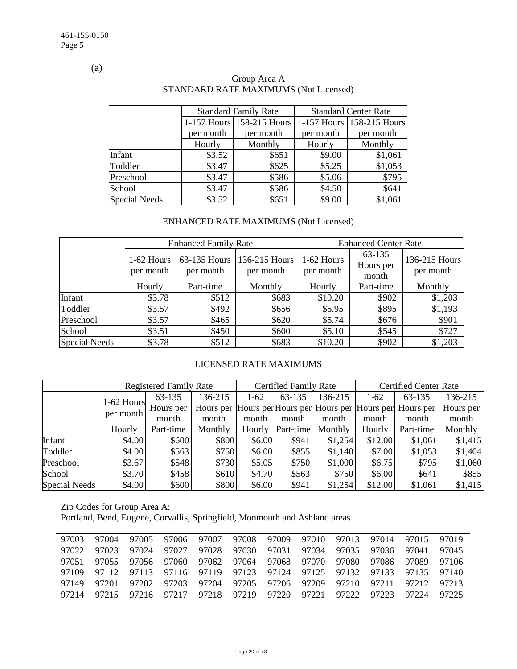(a)

|                      |           | <b>Standard Family Rate</b> | <b>Standard Center Rate</b> |                           |  |  |
|----------------------|-----------|-----------------------------|-----------------------------|---------------------------|--|--|
|                      |           | 1-157 Hours 158-215 Hours   |                             | 1-157 Hours 158-215 Hours |  |  |
|                      | per month | per month                   | per month                   | per month                 |  |  |
|                      | Hourly    | Monthly                     | Hourly                      | Monthly                   |  |  |
| Infant               | \$3.52    | \$651                       | \$9.00                      | \$1,061                   |  |  |
| Toddler              | \$3.47    | \$625                       | \$5.25                      | \$1,053                   |  |  |
| Preschool            | \$3.47    | \$586                       | \$5.06                      | \$795                     |  |  |
| School               | \$3.47    | \$586                       | \$4.50                      | \$641                     |  |  |
| <b>Special Needs</b> | \$3.52    | \$651                       | \$9.00                      | \$1,061                   |  |  |

## Group Area A STANDARD RATE MAXIMUMS (Not Licensed)

# ENHANCED RATE MAXIMUMS (Not Licensed)

|                      |                                | <b>Enhanced Family Rate</b> |                            | <b>Enhanced Center Rate</b> |                              |                            |  |  |
|----------------------|--------------------------------|-----------------------------|----------------------------|-----------------------------|------------------------------|----------------------------|--|--|
|                      | $1-62$ Hours<br>per month      | 63-135 Hours<br>per month   | 136-215 Hours<br>per month | 1-62 Hours<br>per month     | 63-135<br>Hours per<br>month | 136-215 Hours<br>per month |  |  |
|                      | Monthly<br>Part-time<br>Hourly |                             | Hourly                     | Part-time                   | Monthly                      |                            |  |  |
| Infant               | \$3.78                         | \$512                       | \$683                      | \$10.20                     | \$902                        | \$1,203                    |  |  |
| Toddler              | \$3.57                         | \$492                       | \$656                      | \$5.95                      | \$895                        | \$1,193                    |  |  |
| Preschool            | \$3.57                         | \$465                       | \$620                      | \$5.74                      | \$676                        | \$901                      |  |  |
| School               | \$3.51                         | \$450                       | \$600                      | \$5.10                      | \$545                        | \$727                      |  |  |
| <b>Special Needs</b> | \$3.78                         | \$512                       | \$683                      | \$10.20                     | \$902                        | \$1,203                    |  |  |

## LICENSED RATE MAXIMUMS

|                      |              | <b>Registered Family Rate</b> |         |        | <b>Certified Family Rate</b> |         | <b>Certified Center Rate</b> |                                                             |           |  |
|----------------------|--------------|-------------------------------|---------|--------|------------------------------|---------|------------------------------|-------------------------------------------------------------|-----------|--|
|                      | $1-62$ Hours | 63-135                        | 136-215 | $1-62$ | 63-135                       | 136-215 | $1-62$                       | 63-135                                                      | 136-215   |  |
|                      |              | Hours per                     |         |        |                              |         |                              | Hours per Hours per Hours per Hours per Hours per Hours per | Hours per |  |
|                      | per month    | month                         | month   | month  | month                        | month   | month                        | month                                                       | month     |  |
|                      | Hourly       | Part-time                     | Monthly | Hourly | Part-time                    | Monthly | Hourly                       | Part-time                                                   | Monthly   |  |
| Infant               | \$4.00       | \$600                         | \$800   | \$6.00 | \$941                        | \$1,254 | \$12.00                      | \$1,061                                                     | \$1,415   |  |
| Toddler              | \$4.00       | \$563                         | \$750   | \$6.00 | \$855                        | \$1,140 | \$7.00                       | \$1,053                                                     | \$1,404   |  |
| Preschool            | \$3.67       | \$548                         | \$730   | \$5.05 | \$750                        | \$1,000 | \$6.75                       | \$795                                                       | \$1,060   |  |
| School               | \$3.70       | \$458                         | \$610   | \$4.70 | \$563                        | \$750   | \$6.00                       | \$641                                                       | \$855     |  |
| <b>Special Needs</b> | \$4.00       | \$600                         | \$800   | \$6.00 | \$941                        | \$1,254 | \$12.00                      | \$1,061                                                     | \$1,415   |  |

Zip Codes for Group Area A:

Portland, Bend, Eugene, Corvallis, Springfield, Monmouth and Ashland areas

| 97003 | 97004 | 97005 | 97006 | 97007 | 97008 | 97009 | 97010 | 97013 | 97014 | 97015 | 97019 |
|-------|-------|-------|-------|-------|-------|-------|-------|-------|-------|-------|-------|
| 97022 | 97023 | 97024 | 97027 | 97028 | 97030 | 97031 | 97034 | 97035 | 97036 | 97041 | 97045 |
| 97051 | 97055 | 97056 | 97060 | 97062 | 97064 | 97068 | 97070 | 97080 | 97086 | 97089 | 97106 |
| 97109 | 97112 | 97113 | 97116 | 97119 | 97123 | 97124 | 97125 | 97132 | 97133 | 97135 | 97140 |
| 97149 | 97201 | 97202 | 97203 | 97204 | 97205 | 97206 | 97209 | 97210 | 97211 | 97212 | 97213 |
| 97214 |       | 97216 | 97217 | 97218 | 97219 | 97220 | 97221 | 97222 | 97223 | 97224 | 97225 |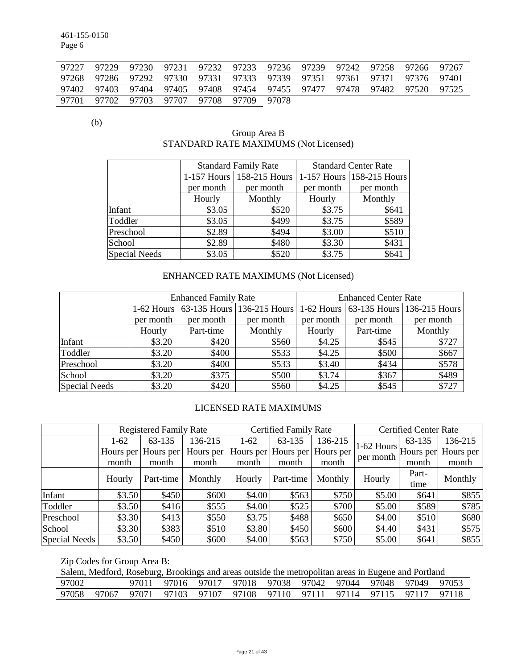461-155-0150 Page 6

|             |  | 97227 97229 97230 97231 97232 97233 97236 97239 97242 97258 97266 97267 |  |  |  |  |
|-------------|--|-------------------------------------------------------------------------|--|--|--|--|
|             |  | 97268 97286 97292 97330 97331 97333 97339 97351 97361 97371 97376 97401 |  |  |  |  |
|             |  | 97402 97403 97404 97405 97408 97454 97455 97477 97478 97482 97520 97525 |  |  |  |  |
| 97701 97702 |  | 97703 97707 97708 97709 97078                                           |  |  |  |  |

(b)

## Group Area B STANDARD RATE MAXIMUMS (Not Licensed)

|                      |           | <b>Standard Family Rate</b> |           | <b>Standard Center Rate</b> |  |
|----------------------|-----------|-----------------------------|-----------|-----------------------------|--|
|                      |           | 1-157 Hours 158-215 Hours   |           | 1-157 Hours 158-215 Hours   |  |
|                      | per month | per month                   | per month | per month                   |  |
|                      | Hourly    | Monthly                     | Hourly    | Monthly                     |  |
| Infant               | \$3.05    | \$520                       | \$3.75    | \$641                       |  |
| Toddler              | \$3.05    | \$499                       | \$3.75    | \$589                       |  |
| Preschool            | \$2.89    | \$494                       | \$3.00    | \$510                       |  |
| School               | \$2.89    | \$480                       | \$3.30    | \$431                       |  |
| <b>Special Needs</b> | \$3.05    | \$520                       | \$3.75    | \$641                       |  |

# ENHANCED RATE MAXIMUMS (Not Licensed)

|                      |           | <b>Enhanced Family Rate</b> |                                       | <b>Enhanced Center Rate</b> |           |                                       |  |  |
|----------------------|-----------|-----------------------------|---------------------------------------|-----------------------------|-----------|---------------------------------------|--|--|
|                      |           |                             | 1-62 Hours 63-135 Hours 136-215 Hours |                             |           | 1-62 Hours 63-135 Hours 136-215 Hours |  |  |
|                      | per month | per month                   | per month                             | per month                   | per month | per month                             |  |  |
|                      | Hourly    | Part-time                   | Monthly                               | Hourly                      | Part-time | Monthly                               |  |  |
| Infant               | \$3.20    | \$420                       | \$560                                 | \$4.25                      | \$545     | \$727                                 |  |  |
| Toddler              | \$3.20    | \$400                       | \$533                                 | \$4.25                      | \$500     | \$667                                 |  |  |
| Preschool            | \$3.20    | \$400                       | \$533                                 | \$3.40                      | \$434     | \$578                                 |  |  |
| School               | \$3.20    | \$375                       | \$500                                 | \$3.74                      | \$367     | \$489                                 |  |  |
| <b>Special Needs</b> | \$3.20    | \$420                       | \$560                                 | \$4.25                      | \$545     | \$727                                 |  |  |

## LICENSED RATE MAXIMUMS

|                      |        | <b>Registered Family Rate</b> |           |        | <b>Certified Family Rate</b> |           | <b>Certified Center Rate</b>                          |        |           |  |
|----------------------|--------|-------------------------------|-----------|--------|------------------------------|-----------|-------------------------------------------------------|--------|-----------|--|
|                      | $1-62$ | 63-135                        | 136-215   | $1-62$ | 63-135                       | 136-215   |                                                       | 63-135 | 136-215   |  |
|                      |        | Hours per Hours per           | Hours per |        | Hours per Hours per          | Hours per | $1-62$ Hours $\vert$ Hours per $\vert$ '<br>per month |        | Hours per |  |
|                      | month  | month                         | month     | month  | month                        | month     |                                                       | month  | month     |  |
|                      | Hourly | Part-time                     | Monthly   | Hourly | Part-time                    | Monthly   | Hourly                                                | Part-  | Monthly   |  |
|                      |        |                               |           |        |                              |           |                                                       | time   |           |  |
| Infant               | \$3.50 | \$450                         | \$600     | \$4.00 | \$563                        | \$750     | \$5.00                                                | \$641  | \$855     |  |
| Toddler              | \$3.50 | \$416                         | \$555     | \$4.00 | \$525                        | \$700     | \$5.00                                                | \$589  | \$785     |  |
| Preschool            | \$3.30 | \$413                         | \$550     | \$3.75 | \$488                        | \$650     | \$4.00                                                | \$510  | \$680     |  |
| School               | \$3.30 | \$383                         | \$510     | \$3.80 | \$450                        | \$600     | \$4.40                                                | \$431  | \$575     |  |
| <b>Special Needs</b> | \$3.50 | \$450                         | \$600     | \$4.00 | \$563                        | \$750     | \$5.00                                                | \$641  | \$855     |  |

Zip Codes for Group Area B:

| Salem, Medford, Roseburg, Brookings and areas outside the metropolitan areas in Eugene and Portland |  |  |  |  |                                                                         |  |  |  |  |  |  |
|-----------------------------------------------------------------------------------------------------|--|--|--|--|-------------------------------------------------------------------------|--|--|--|--|--|--|
| 97002                                                                                               |  |  |  |  | 97011 97016 97017 97018 97038 97042 97044 97048 97049 97053             |  |  |  |  |  |  |
|                                                                                                     |  |  |  |  | 97058 97067 97071 97103 97107 97108 97110 97111 97114 97115 97117 97118 |  |  |  |  |  |  |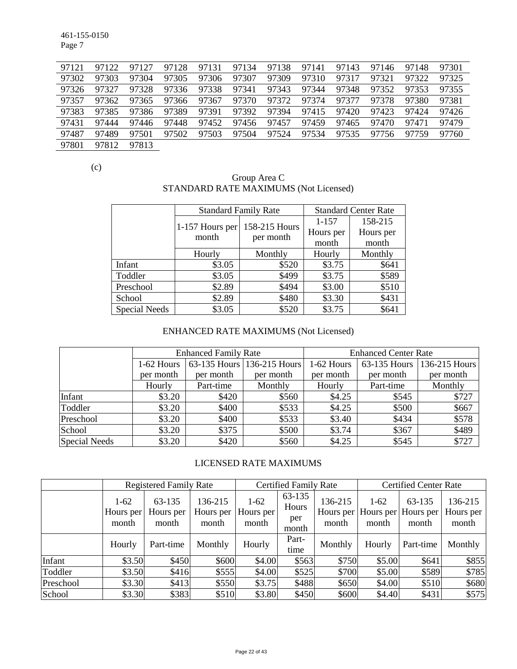461-155-0150 Page 7

| 97121 | 97122 | 97127 | 97128 | 97131 | 97134 | 97138 | 97141 | 97143 | 97146 | 97148 | 97301 |
|-------|-------|-------|-------|-------|-------|-------|-------|-------|-------|-------|-------|
| 97302 | 97303 | 97304 | 97305 | 97306 | 97307 | 97309 | 97310 | 97317 | 97321 | 97322 | 97325 |
| 97326 | 97327 | 97328 | 97336 | 97338 | 97341 | 97343 | 97344 | 97348 | 97352 | 97353 | 97355 |
| 97357 | 97362 | 97365 | 97366 | 97367 | 97370 | 97372 | 97374 | 97377 | 97378 | 97380 | 97381 |
| 97383 | 97385 | 97386 | 97389 | 97391 | 97392 | 97394 | 97415 | 97420 | 97423 | 97424 | 97426 |
| 97431 | 97444 | 97446 | 97448 | 97452 | 97456 | 97457 | 97459 | 97465 | 97470 | 97471 | 97479 |
| 97487 | 97489 | 97501 | 97502 | 97503 | 97504 | 97524 | 97534 | 97535 | 97756 | 97759 | 97760 |
| 97801 | 97812 | 97813 |       |       |       |       |       |       |       |       |       |

(c)

### Group Area C STANDARD RATE MAXIMUMS (Not Licensed)

|                      | <b>Standard Family Rate</b> |                            | <b>Standard Center Rate</b> |           |  |
|----------------------|-----------------------------|----------------------------|-----------------------------|-----------|--|
|                      | 1-157 Hours per             | 158-215 Hours<br>per month | $1 - 157$                   | 158-215   |  |
|                      | month                       |                            | Hours per                   | Hours per |  |
|                      |                             |                            | month                       | month     |  |
|                      | Hourly                      | Monthly                    | Hourly                      | Monthly   |  |
| Infant               | \$3.05                      | \$520                      | \$3.75                      | \$641     |  |
| Toddler              | \$3.05                      | \$499                      | \$3.75                      | \$589     |  |
| Preschool            | \$2.89                      | \$494                      | \$3.00                      | \$510     |  |
| School               | \$2.89                      | \$480                      | \$3.30                      | \$431     |  |
| <b>Special Needs</b> | \$3.05                      | \$520                      | \$3.75                      | \$641     |  |

# ENHANCED RATE MAXIMUMS (Not Licensed)

|                      |            | <b>Enhanced Family Rate</b> |                            | <b>Enhanced Center Rate</b> |              |               |  |
|----------------------|------------|-----------------------------|----------------------------|-----------------------------|--------------|---------------|--|
|                      | 1-62 Hours |                             | 63-135 Hours 136-215 Hours | 1-62 Hours                  | 63-135 Hours | 136-215 Hours |  |
|                      | per month  | per month                   | per month                  | per month                   | per month    | per month     |  |
|                      | Hourly     | Part-time                   | Monthly                    | Hourly                      | Part-time    | Monthly       |  |
| Infant               | \$3.20     | \$420                       | \$560                      | \$4.25                      | \$545        | \$727         |  |
| Toddler              | \$3.20     | \$400                       | \$533                      | \$4.25                      | \$500        | \$667         |  |
| Preschool            | \$3.20     | \$400                       | \$533                      | \$3.40                      | \$434        | \$578         |  |
| School               | \$3.20     | \$375                       | \$500                      | \$3.74                      | \$367        | \$489         |  |
| <b>Special Needs</b> | \$3.20     | \$420                       | \$560                      | \$4.25                      | \$545        | \$727         |  |

## LICENSED RATE MAXIMUMS

|           | <b>Registered Family Rate</b> |                              |                               | <b>Certified Family Rate</b> |                                 |                               | <b>Certified Center Rate</b> |                                        |                               |
|-----------|-------------------------------|------------------------------|-------------------------------|------------------------------|---------------------------------|-------------------------------|------------------------------|----------------------------------------|-------------------------------|
|           | $1-62$<br>Hours per<br>month  | 63-135<br>Hours per<br>month | 136-215<br>Hours per<br>month | $1-62$<br>Hours per<br>month | 63-135<br>Hours<br>per<br>month | 136-215<br>Hours per<br>month | $1-62$<br>month              | 63-135<br>Hours per Hours per<br>month | 136-215<br>Hours per<br>month |
|           | Hourly                        | Part-time                    | Monthly                       | Hourly                       | Part-<br>time                   | Monthly                       | Hourly                       | Part-time                              | Monthly                       |
| Infant    | \$3.50                        | \$450                        | \$600                         | \$4.00                       | \$563                           | \$750                         | \$5.00                       | \$641                                  | \$855                         |
| Toddler   | \$3.50                        | \$416                        | \$555                         | \$4.00                       | \$525                           | \$700                         | \$5.00                       | \$589                                  | \$785                         |
| Preschool | \$3.30                        | \$413                        | \$550                         | \$3.75                       | \$488                           | \$650                         | \$4.00                       | \$510                                  | \$680                         |
| School    | \$3.30                        | \$383                        | \$510                         | \$3.80                       | \$450                           | \$600                         | \$4.40                       | \$431                                  | \$575                         |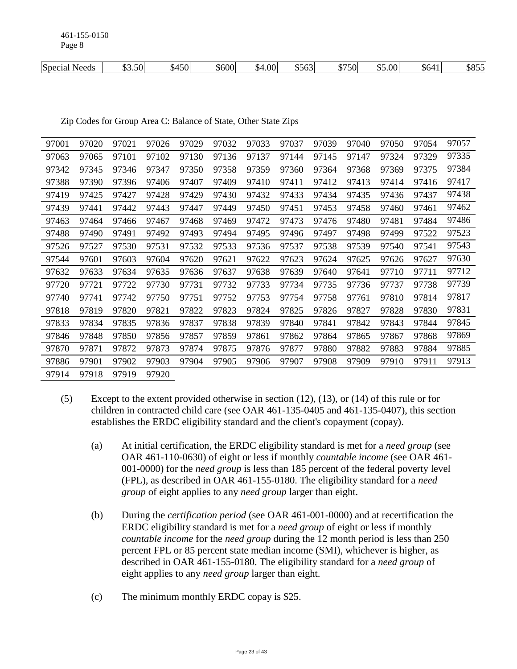461-155-0150 Page 8

| \$750<br>.00.<br>$\sim$ $\sim$<br>$ -$<br>$\sim$ $\sim$<br>. <b>. .</b><br>$\frac{600}{ }$<br>.00<br>$\triangle$ $\triangle$ $\triangle$<br>$\triangle$<br>+501<br>– 5.50<br>Special<br>\$563<br><b>Needs</b><br>⊿۸.<br>ഄ൛<br>൝<br>. שר<br>- 512 - 5<br>ιIJ. |
|--------------------------------------------------------------------------------------------------------------------------------------------------------------------------------------------------------------------------------------------------------------|
|--------------------------------------------------------------------------------------------------------------------------------------------------------------------------------------------------------------------------------------------------------------|

Zip Codes for Group Area C: Balance of State, Other State Zips

| 97001 | 97020 | 97021 | 97026 | 97029 | 97032 | 97033 | 97037 | 97039 | 97040 | 97050 | 97054 | 97057 |
|-------|-------|-------|-------|-------|-------|-------|-------|-------|-------|-------|-------|-------|
| 97063 | 97065 | 97101 | 97102 | 97130 | 97136 | 97137 | 97144 | 97145 | 97147 | 97324 | 97329 | 97335 |
| 97342 | 97345 | 97346 | 97347 | 97350 | 97358 | 97359 | 97360 | 97364 | 97368 | 97369 | 97375 | 97384 |
| 97388 | 97390 | 97396 | 97406 | 97407 | 97409 | 97410 | 97411 | 97412 | 97413 | 97414 | 97416 | 97417 |
| 97419 | 97425 | 97427 | 97428 | 97429 | 97430 | 97432 | 97433 | 97434 | 97435 | 97436 | 97437 | 97438 |
| 97439 | 97441 | 97442 | 97443 | 97447 | 97449 | 97450 | 97451 | 97453 | 97458 | 97460 | 97461 | 97462 |
| 97463 | 97464 | 97466 | 97467 | 97468 | 97469 | 97472 | 97473 | 97476 | 97480 | 97481 | 97484 | 97486 |
| 97488 | 97490 | 97491 | 97492 | 97493 | 97494 | 97495 | 97496 | 97497 | 97498 | 97499 | 97522 | 97523 |
| 97526 | 97527 | 97530 | 97531 | 97532 | 97533 | 97536 | 97537 | 97538 | 97539 | 97540 | 97541 | 97543 |
| 97544 | 97601 | 97603 | 97604 | 97620 | 97621 | 97622 | 97623 | 97624 | 97625 | 97626 | 97627 | 97630 |
| 97632 | 97633 | 97634 | 97635 | 97636 | 97637 | 97638 | 97639 | 97640 | 97641 | 97710 | 97711 | 97712 |
| 97720 | 97721 | 97722 | 97730 | 97731 | 97732 | 97733 | 97734 | 97735 | 97736 | 97737 | 97738 | 97739 |
| 97740 | 97741 | 97742 | 97750 | 97751 | 97752 | 97753 | 97754 | 97758 | 97761 | 97810 | 97814 | 97817 |
| 97818 | 97819 | 97820 | 97821 | 97822 | 97823 | 97824 | 97825 | 97826 | 97827 | 97828 | 97830 | 97831 |
| 97833 | 97834 | 97835 | 97836 | 97837 | 97838 | 97839 | 97840 | 97841 | 97842 | 97843 | 97844 | 97845 |
| 97846 | 97848 | 97850 | 97856 | 97857 | 97859 | 97861 | 97862 | 97864 | 97865 | 97867 | 97868 | 97869 |
| 97870 | 97871 | 97872 | 97873 | 97874 | 97875 | 97876 | 97877 | 97880 | 97882 | 97883 | 97884 | 97885 |
| 97886 | 97901 | 97902 | 97903 | 97904 | 97905 | 97906 | 97907 | 97908 | 97909 | 97910 | 97911 | 97913 |
| 97914 | 97918 | 97919 | 97920 |       |       |       |       |       |       |       |       |       |

- (5) Except to the extent provided otherwise in section (12), (13), or (14) of this rule or for children in contracted child care (see OAR 461-135-0405 and 461-135-0407), this section establishes the ERDC eligibility standard and the client's copayment (copay).
	- (a) At initial certification, the ERDC eligibility standard is met for a *need group* (see OAR 461-110-0630) of eight or less if monthly *countable income* (see OAR 461- 001-0000) for the *need group* is less than 185 percent of the federal poverty level (FPL), as described in OAR 461-155-0180. The eligibility standard for a *need group* of eight applies to any *need group* larger than eight.
	- (b) During the *certification period* (see OAR 461-001-0000) and at recertification the ERDC eligibility standard is met for a *need group* of eight or less if monthly *countable income* for the *need group* during the 12 month period is less than 250 percent FPL or 85 percent state median income (SMI), whichever is higher, as described in OAR 461-155-0180. The eligibility standard for a *need group* of eight applies to any *need group* larger than eight.
	- (c) The minimum monthly ERDC copay is \$25.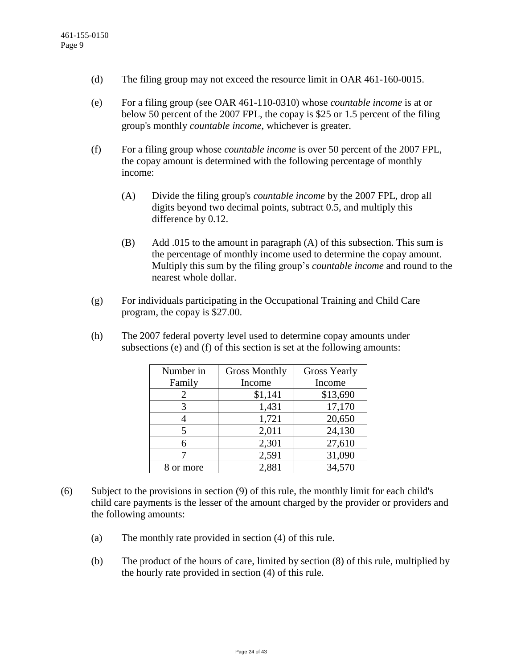- (d) The filing group may not exceed the resource limit in OAR 461-160-0015.
- (e) For a filing group (see OAR 461-110-0310) whose *countable income* is at or below 50 percent of the 2007 FPL, the copay is \$25 or 1.5 percent of the filing group's monthly *countable income*, whichever is greater.
- (f) For a filing group whose *countable income* is over 50 percent of the 2007 FPL, the copay amount is determined with the following percentage of monthly income:
	- (A) Divide the filing group's *countable income* by the 2007 FPL, drop all digits beyond two decimal points, subtract 0.5, and multiply this difference by 0.12.
	- (B) Add .015 to the amount in paragraph (A) of this subsection. This sum is the percentage of monthly income used to determine the copay amount. Multiply this sum by the filing group's *countable income* and round to the nearest whole dollar.
- (g) For individuals participating in the Occupational Training and Child Care program, the copay is \$27.00.
- (h) The 2007 federal poverty level used to determine copay amounts under subsections (e) and (f) of this section is set at the following amounts:

| Number in | <b>Gross Monthly</b> | <b>Gross Yearly</b> |
|-----------|----------------------|---------------------|
| Family    | Income               | Income              |
|           | \$1,141              | \$13,690            |
|           | 1,431                | 17,170              |
|           | 1,721                | 20,650              |
|           | 2,011                | 24,130              |
| 6         | 2,301                | 27,610              |
|           | 2,591                | 31,090              |
| or more   | 2,881                | 34,570              |

- (6) Subject to the provisions in section (9) of this rule, the monthly limit for each child's child care payments is the lesser of the amount charged by the provider or providers and the following amounts:
	- (a) The monthly rate provided in section (4) of this rule.
	- (b) The product of the hours of care, limited by section (8) of this rule, multiplied by the hourly rate provided in section (4) of this rule.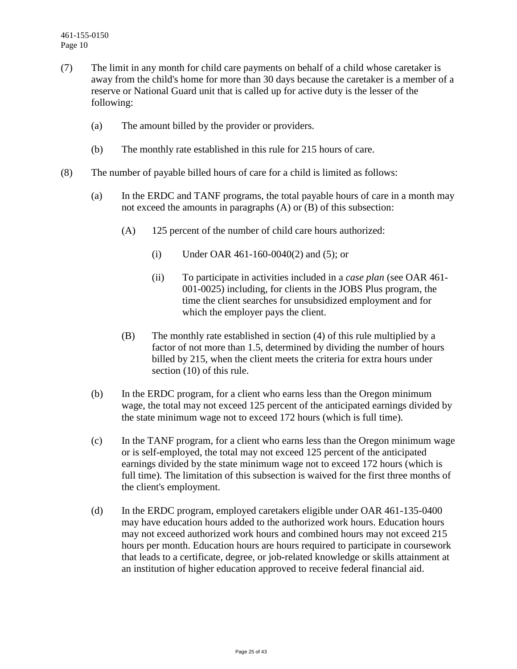- (7) The limit in any month for child care payments on behalf of a child whose caretaker is away from the child's home for more than 30 days because the caretaker is a member of a reserve or National Guard unit that is called up for active duty is the lesser of the following:
	- (a) The amount billed by the provider or providers.
	- (b) The monthly rate established in this rule for 215 hours of care.
- (8) The number of payable billed hours of care for a child is limited as follows:
	- (a) In the ERDC and TANF programs, the total payable hours of care in a month may not exceed the amounts in paragraphs (A) or (B) of this subsection:
		- (A) 125 percent of the number of child care hours authorized:
			- (i) Under OAR 461-160-0040(2) and (5); or
			- (ii) To participate in activities included in a *case plan* (see OAR 461- 001-0025) including, for clients in the JOBS Plus program, the time the client searches for unsubsidized employment and for which the employer pays the client.
		- (B) The monthly rate established in section (4) of this rule multiplied by a factor of not more than 1.5, determined by dividing the number of hours billed by 215, when the client meets the criteria for extra hours under section (10) of this rule.
	- (b) In the ERDC program, for a client who earns less than the Oregon minimum wage, the total may not exceed 125 percent of the anticipated earnings divided by the state minimum wage not to exceed 172 hours (which is full time).
	- (c) In the TANF program, for a client who earns less than the Oregon minimum wage or is self-employed, the total may not exceed 125 percent of the anticipated earnings divided by the state minimum wage not to exceed 172 hours (which is full time). The limitation of this subsection is waived for the first three months of the client's employment.
	- (d) In the ERDC program, employed caretakers eligible under OAR 461-135-0400 may have education hours added to the authorized work hours. Education hours may not exceed authorized work hours and combined hours may not exceed 215 hours per month. Education hours are hours required to participate in coursework that leads to a certificate, degree, or job-related knowledge or skills attainment at an institution of higher education approved to receive federal financial aid.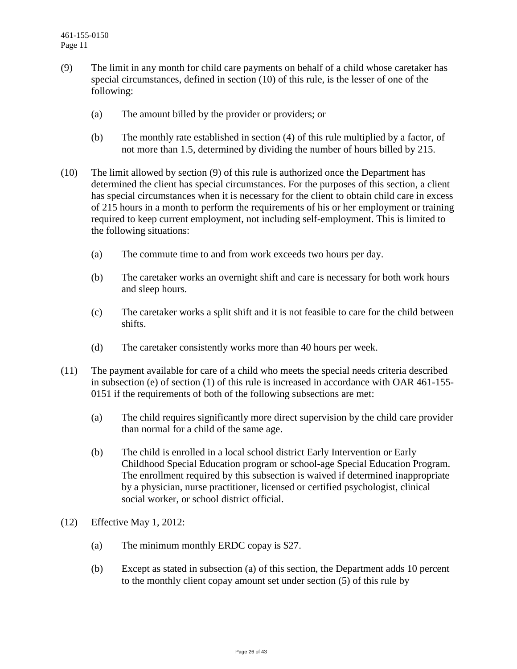- (9) The limit in any month for child care payments on behalf of a child whose caretaker has special circumstances, defined in section (10) of this rule, is the lesser of one of the following:
	- (a) The amount billed by the provider or providers; or
	- (b) The monthly rate established in section (4) of this rule multiplied by a factor, of not more than 1.5, determined by dividing the number of hours billed by 215.
- (10) The limit allowed by section (9) of this rule is authorized once the Department has determined the client has special circumstances. For the purposes of this section, a client has special circumstances when it is necessary for the client to obtain child care in excess of 215 hours in a month to perform the requirements of his or her employment or training required to keep current employment, not including self-employment. This is limited to the following situations:
	- (a) The commute time to and from work exceeds two hours per day.
	- (b) The caretaker works an overnight shift and care is necessary for both work hours and sleep hours.
	- (c) The caretaker works a split shift and it is not feasible to care for the child between shifts.
	- (d) The caretaker consistently works more than 40 hours per week.
- (11) The payment available for care of a child who meets the special needs criteria described in subsection (e) of section (1) of this rule is increased in accordance with OAR 461-155- 0151 if the requirements of both of the following subsections are met:
	- (a) The child requires significantly more direct supervision by the child care provider than normal for a child of the same age.
	- (b) The child is enrolled in a local school district Early Intervention or Early Childhood Special Education program or school-age Special Education Program. The enrollment required by this subsection is waived if determined inappropriate by a physician, nurse practitioner, licensed or certified psychologist, clinical social worker, or school district official.
- (12) Effective May 1, 2012:
	- (a) The minimum monthly ERDC copay is \$27.
	- (b) Except as stated in subsection (a) of this section, the Department adds 10 percent to the monthly client copay amount set under section (5) of this rule by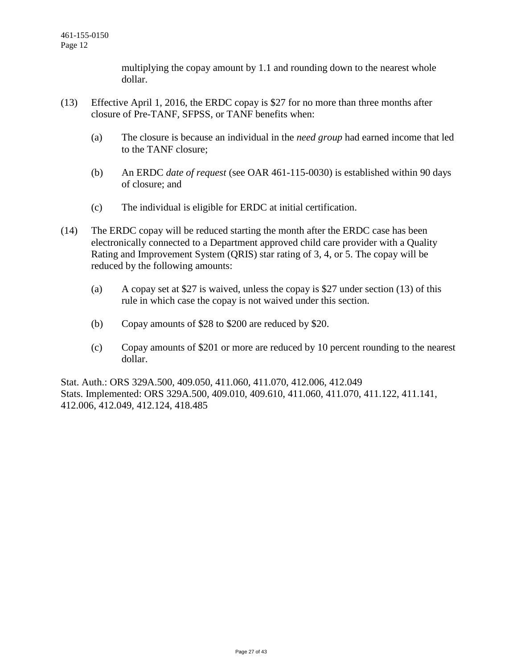multiplying the copay amount by 1.1 and rounding down to the nearest whole dollar.

- (13) Effective April 1, 2016, the ERDC copay is \$27 for no more than three months after closure of Pre-TANF, SFPSS, or TANF benefits when:
	- (a) The closure is because an individual in the *need group* had earned income that led to the TANF closure;
	- (b) An ERDC *date of request* (see OAR 461-115-0030) is established within 90 days of closure; and
	- (c) The individual is eligible for ERDC at initial certification.
- (14) The ERDC copay will be reduced starting the month after the ERDC case has been electronically connected to a Department approved child care provider with a Quality Rating and Improvement System (QRIS) star rating of 3, 4, or 5. The copay will be reduced by the following amounts:
	- (a) A copay set at \$27 is waived, unless the copay is \$27 under section (13) of this rule in which case the copay is not waived under this section.
	- (b) Copay amounts of \$28 to \$200 are reduced by \$20.
	- (c) Copay amounts of \$201 or more are reduced by 10 percent rounding to the nearest dollar.

Stat. Auth.: ORS 329A.500, 409.050, 411.060, 411.070, 412.006, 412.049 Stats. Implemented: ORS 329A.500, 409.010, 409.610, 411.060, 411.070, 411.122, 411.141, 412.006, 412.049, 412.124, 418.485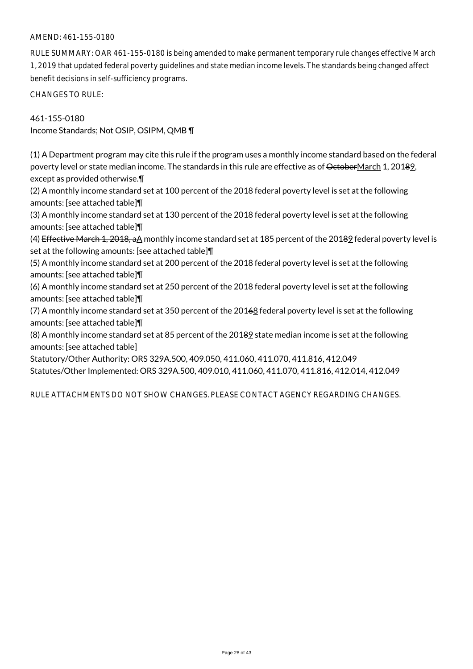## AMEND: 461-155-0180

RULE SUMMARY: OAR 461-155-0180 is being amended to make permanent temporary rule changes effective March 1, 2019 that updated federal poverty guidelines and state median income levels. The standards being changed affect benefit decisions in self-sufficiency programs.

CHANGES TO RULE:

461-155-0180 Income Standards; Not OSIP, OSIPM, QMB ¶

(1) A Department program may cite this rule if the program uses a monthly income standard based on the federal poverty level or state median income. The standards in this rule are effective as of OctoberMarch 1, 20189, except as provided otherwise.¶

(2) A monthly income standard set at 100 percent of the 2018 federal poverty level is set at the following amounts: [see attached table]¶

(3) A monthly income standard set at 130 percent of the 2018 federal poverty level is set at the following amounts: [see attached table]¶

(4) Effective March 1, 2018, aA monthly income standard set at 185 percent of the 20189 federal poverty level is set at the following amounts: [see attached table]¶

(5) A monthly income standard set at 200 percent of the 2018 federal poverty level is set at the following amounts: [see attached table]¶

(6) A monthly income standard set at 250 percent of the 2018 federal poverty level is set at the following amounts: [see attached table]¶

(7) A monthly income standard set at 350 percent of the 20168 federal poverty level is set at the following amounts: [see attached table]¶

(8) A monthly income standard set at 85 percent of the 20189 state median income is set at the following amounts: [see attached table]

Statutory/Other Authority: ORS 329A.500, 409.050, 411.060, 411.070, 411.816, 412.049 Statutes/Other Implemented: ORS 329A.500, 409.010, 411.060, 411.070, 411.816, 412.014, 412.049

RULE ATTACHMENTS DO NOT SHOW CHANGES. PLEASE CONTACT AGENCY REGARDING CHANGES.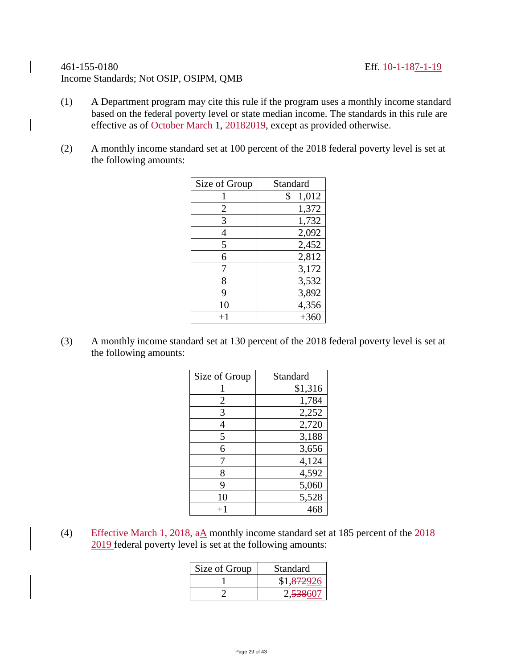## 461-155-0180 Eff. 10-1-187-1-19 Income Standards; Not OSIP, OSIPM, QMB

- (1) A Department program may cite this rule if the program uses a monthly income standard based on the federal poverty level or state median income. The standards in this rule are effective as of October-March 1, 20182019, except as provided otherwise.
- (2) A monthly income standard set at 100 percent of the 2018 federal poverty level is set at the following amounts:

| Size of Group | Standard    |
|---------------|-------------|
|               | 1,012<br>\$ |
| 2             | 1,372       |
| 3             | 1,732       |
| 4             | 2,092       |
| 5             | 2,452       |
| 6             | 2,812       |
| 7             | 3,172       |
| 8             | 3,532       |
| 9             | 3,892       |
| 10            | 4,356       |
| $+1$          | $+360$      |

(3) A monthly income standard set at 130 percent of the 2018 federal poverty level is set at the following amounts:

| Size of Group | Standard |
|---------------|----------|
|               | \$1,316  |
| 2             | 1,784    |
| 3             | 2,252    |
| 4             | 2,720    |
| 5             | 3,188    |
| 6             | 3,656    |
|               | 4,124    |
| 8             | 4,592    |
| 9             | 5,060    |
| 10            | 5,528    |
| $^{+1}$       | 468      |

(4) Effective March 1, 2018,  $aA$  monthly income standard set at 185 percent of the 2018 2019 federal poverty level is set at the following amounts:

| Size of Group | Standard   |
|---------------|------------|
|               | \$1,872926 |
|               | 2,538607   |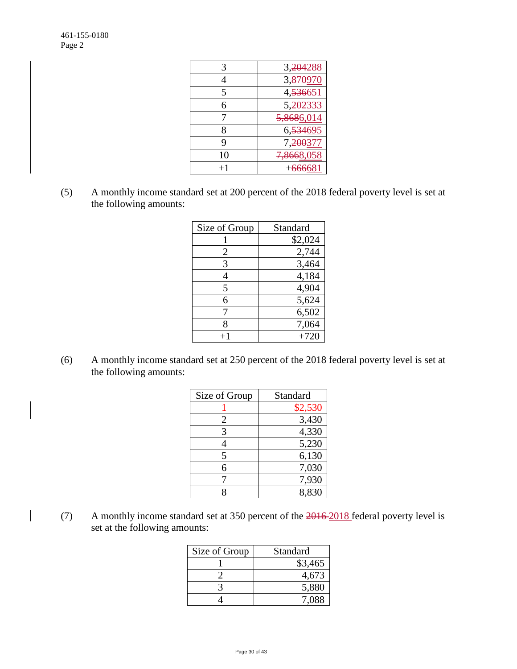| 3    | 3,24                  |
|------|-----------------------|
|      | 3, <del>870</del>     |
| 5    | 4,536651              |
| 6    | 5,202333              |
|      | 5,8686                |
| 8    | 6,534695              |
| 9    | 7, <del>200</del> 377 |
| 10   | 8668                  |
| $+1$ | 66608                 |
|      |                       |

(5) A monthly income standard set at 200 percent of the 2018 federal poverty level is set at the following amounts:

| Size of Group | Standard |
|---------------|----------|
|               | \$2,024  |
| 2             | 2,744    |
| 3             | 3,464    |
| 4             | 4,184    |
| 5             | 4,904    |
| 6             | 5,624    |
|               | 6,502    |
| 8             | 7,064    |
|               | $+720$   |

(6) A monthly income standard set at 250 percent of the 2018 federal poverty level is set at the following amounts:

| Size of Group | Standard |
|---------------|----------|
|               | \$2,530  |
| 2             | 3,430    |
| 3             | 4,330    |
|               | 5,230    |
| 5             | 6,130    |
| 6             | 7,030    |
|               | 7,930    |
|               | 8,830    |

(7) A monthly income standard set at 350 percent of the 2016 2018 federal poverty level is set at the following amounts:

| Size of Group | Standard |
|---------------|----------|
|               | \$3,465  |
|               | 4,673    |
|               | 5,880    |
|               | 7 088    |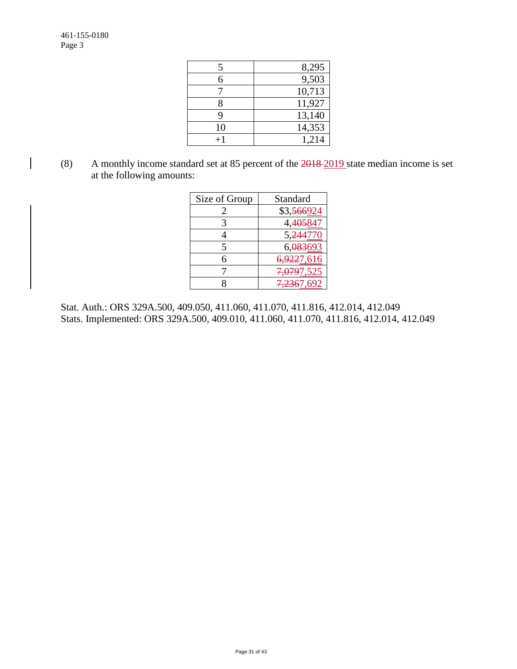| 5  | 8,295  |
|----|--------|
| 6  | 9,503  |
|    | 10,713 |
| 8  | 11,927 |
| q  | 13,140 |
| 10 | 14,353 |
|    | 1,214  |

(8) A monthly income standard set at 85 percent of the 2018 2019 state median income is set at the following amounts:

| Size of Group | Standard                |
|---------------|-------------------------|
|               | \$3, <del>566</del> 924 |
| 3             | 4. <del>405</del> 841   |
|               | 5,244770                |
| 5             | 6,083693                |
| 6             | <del>6,922</del> 7,616  |
|               | <del>7,079</del> 7,525  |
|               | <del>7.236</del> 7,692  |

Stat. Auth.: ORS 329A.500, 409.050, 411.060, 411.070, 411.816, 412.014, 412.049 Stats. Implemented: ORS 329A.500, 409.010, 411.060, 411.070, 411.816, 412.014, 412.049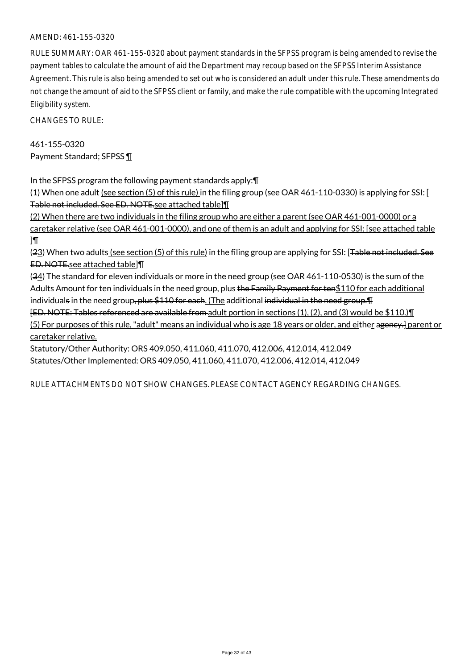## AMEND: 461-155-0320

RULE SUMMARY: OAR 461-155-0320 about payment standards in the SFPSS program is being amended to revise the payment tables to calculate the amount of aid the Department may recoup based on the SFPSS Interim Assistance Agreement. This rule is also being amended to set out who is considered an adult under this rule. These amendments do not change the amount of aid to the SFPSS client or family, and make the rule compatible with the upcoming Integrated Eligibility system.

CHANGES TO RULE:

461-155-0320 Payment Standard; SFPSS ¶

In the SFPSS program the following payment standards apply:¶

(1) When one adult (see section (5) of this rule) in the filing group (see OAR 461-110-0330) is applying for SSI: [ Table not included. See ED. NOTE.see attached table]¶

(2) When there are two individuals in the filing group who are either a parent (see OAR 461-001-0000) or a caretaker relative (see OAR 461-001-0000), and one of them is an adult and applying for SSI: [see attached table ]¶

(23) When two adults (see section (5) of this rule) in the filing group are applying for SSI: [<del>Table not included. See</del> ED. NOTE.see attached table]¶

(34) The standard for eleven individuals or more in the need group (see OAR 461-110-0530) is the sum of the Adults Amount for ten individuals in the need group, plus the Family Payment for ten\$110 for each additional individuals in the need group, plus \$110 for each. (The additional individual in the need group. [1] [ED. NOTE: Tables referenced are available from adult portion in sections (1), (2), and (3) would be \$110.)¶

(5) For purposes of this rule, "adult" means an individual who is age 18 years or older, and either ageney.] parent or caretaker relative.

Statutory/Other Authority: ORS 409.050, 411.060, 411.070, 412.006, 412.014, 412.049 Statutes/Other Implemented: ORS 409.050, 411.060, 411.070, 412.006, 412.014, 412.049

RULE ATTACHMENTS DO NOT SHOW CHANGES. PLEASE CONTACT AGENCY REGARDING CHANGES.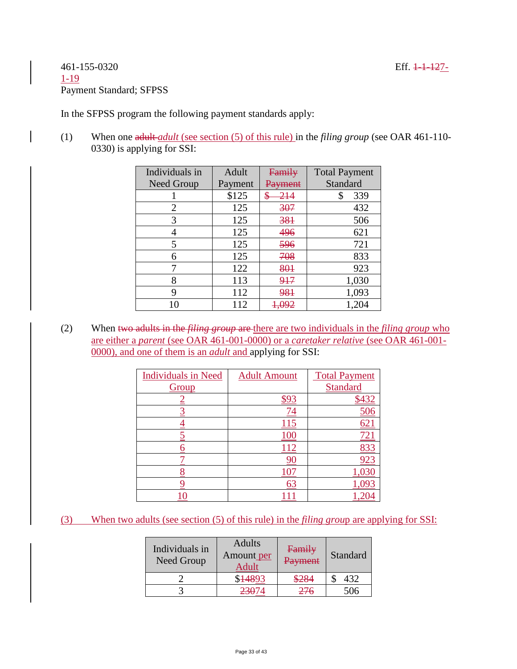# 461-155-0320 Eff. 1-1-127- 1-19 Payment Standard; SFPSS

In the SFPSS program the following payment standards apply:

(1) When one adult *adult* (see section (5) of this rule) in the *filing group* (see OAR 461-110- 0330) is applying for SSI:

| Individuals in | Adult   | Family              | <b>Total Payment</b> |
|----------------|---------|---------------------|----------------------|
| Need Group     | Payment | ' <del>avment</del> | Standard             |
|                | \$125   | \$                  | 339<br>\$            |
| 2              | 125     | 307                 | 432                  |
| 3              | 125     | 381                 | 506                  |
|                | 125     | 496                 | 621                  |
| 5              | 125     | 596                 | 721                  |
| 6              | 125     | 708                 | 833                  |
|                | 122     | 801                 | 923                  |
| 8              | 113     | 917                 | 1,030                |
| 9              | 112     | 981                 | 1,093                |
| 10             | 112     |                     | 1,204                |

(2) When two adults in the *filing group* are there are two individuals in the *filing group* who are either a *parent* (see OAR 461-001-0000) or a *caretaker relative* (see OAR 461-001- 0000), and one of them is an *adult* and applying for SSI:

| <b>Individuals in Need</b> | <b>Adult Amount</b> | <b>Total Payment</b> |
|----------------------------|---------------------|----------------------|
| Group                      |                     | <b>Standard</b>      |
|                            |                     | 432                  |
|                            |                     |                      |
|                            | بی ک                | 62.                  |
|                            | 100                 | 72.                  |
|                            | -12                 | 83.                  |
|                            |                     |                      |
|                            |                     | .03                  |
|                            | 63                  |                      |
|                            |                     |                      |

# (3) When two adults (see section (5) of this rule) in the *filing grou*p are applying for SSI:

| Individuals in<br>Need Group | <b>Adults</b><br>Amount per<br>Adult | Family<br>Payment | Standard |
|------------------------------|--------------------------------------|-------------------|----------|
|                              | $1489^{\circ}$                       | \$284             | 432      |
|                              | 23074                                | 276               | 506      |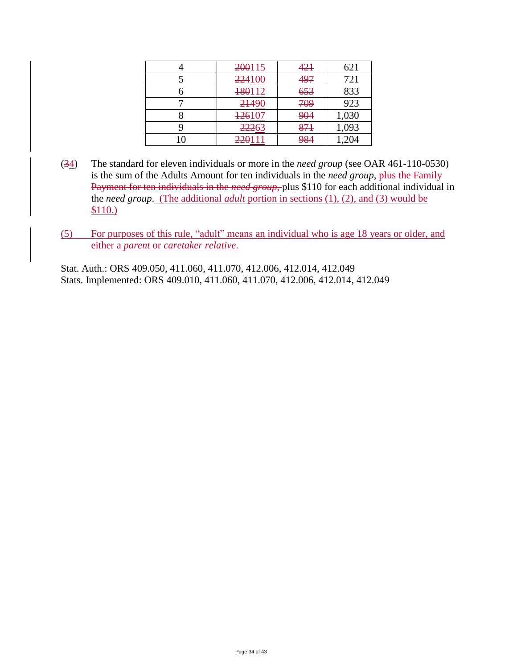| 200115 | 421 | 621   |
|--------|-----|-------|
| 224100 | 497 | 721   |
| 180112 | 653 | 833   |
| 21490  | 709 | 923   |
| 126107 | 904 | 1,030 |
| 22263  | 871 | 1,093 |
| 220111 | 984 | ,204  |

- (34) The standard for eleven individuals or more in the *need group* (see OAR 461-110-0530) is the sum of the Adults Amount for ten individuals in the *need group*, plus the Family Payment for ten individuals in the *need group*, plus \$110 for each additional individual in the *need group*. (The additional *adult* portion in sections (1), (2), and (3) would be \$110.)
- (5) For purposes of this rule, "adult" means an individual who is age 18 years or older, and either a *parent* or *caretaker relative*.

Stat. Auth.: ORS 409.050, 411.060, 411.070, 412.006, 412.014, 412.049 Stats. Implemented: ORS 409.010, 411.060, 411.070, 412.006, 412.014, 412.049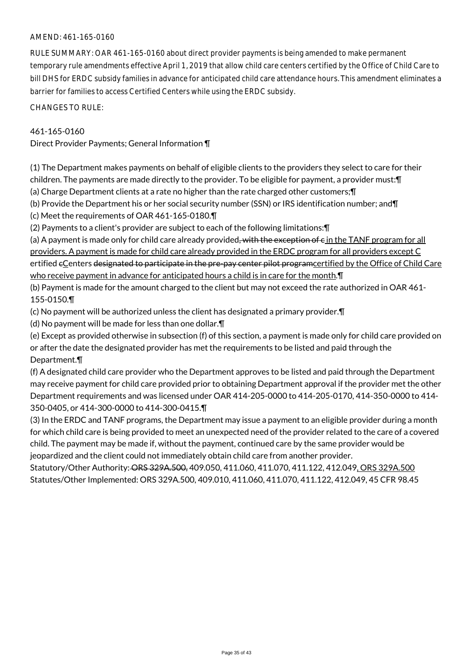## AMEND: 461-165-0160

RULE SUMMARY: OAR 461-165-0160 about direct provider payments is being amended to make permanent temporary rule amendments effective April 1, 2019 that allow child care centers certified by the Office of Child Care to bill DHS for ERDC subsidy families in advance for anticipated child care attendance hours. This amendment eliminates a barrier for families to access Certified Centers while using the ERDC subsidy.

CHANGES TO RULE:

### 461-165-0160

Direct Provider Payments; General Information ¶

(1) The Department makes payments on behalf of eligible clients to the providers they select to care for their children. The payments are made directly to the provider. To be eligible for payment, a provider must:¶

(a) Charge Department clients at a rate no higher than the rate charged other customers;¶

(b) Provide the Department his or her social security number (SSN) or IRS identification number; and¶

(c) Meet the requirements of OAR 461-165-0180.¶

(2) Payments to a client's provider are subject to each of the following limitations:¶

(a) A payment is made only for child care already provided, with the exception of  $\epsilon$  in the TANF program for all providers. A payment is made for child care already provided in the ERDC program for all providers except C ertified eCenters designated to participate in the pre-pay center pilot programcertified by the Office of Child Care who receive payment in advance for anticipated hours a child is in care for the month.¶

(b) Payment is made for the amount charged to the client but may not exceed the rate authorized in OAR 461- 155-0150.¶

(c) No payment will be authorized unless the client has designated a primary provider.¶

(d) No payment will be made for less than one dollar.¶

(e) Except as provided otherwise in subsection (f) of this section, a payment is made only for child care provided on or after the date the designated provider has met the requirements to be listed and paid through the Department.¶

(f) A designated child care provider who the Department approves to be listed and paid through the Department may receive payment for child care provided prior to obtaining Department approval if the provider met the other Department requirements and was licensed under OAR 414-205-0000 to 414-205-0170, 414-350-0000 to 414- 350-0405, or 414-300-0000 to 414-300-0415.¶

(3) In the ERDC and TANF programs, the Department may issue a payment to an eligible provider during a month for which child care is being provided to meet an unexpected need of the provider related to the care of a covered child. The payment may be made if, without the payment, continued care by the same provider would be jeopardized and the client could not immediately obtain child care from another provider.

Statutory/Other Authority: ORS 329A.500, 409.050, 411.060, 411.070, 411.122, 412.049, ORS 329A.500 Statutes/Other Implemented: ORS 329A.500, 409.010, 411.060, 411.070, 411.122, 412.049, 45 CFR 98.45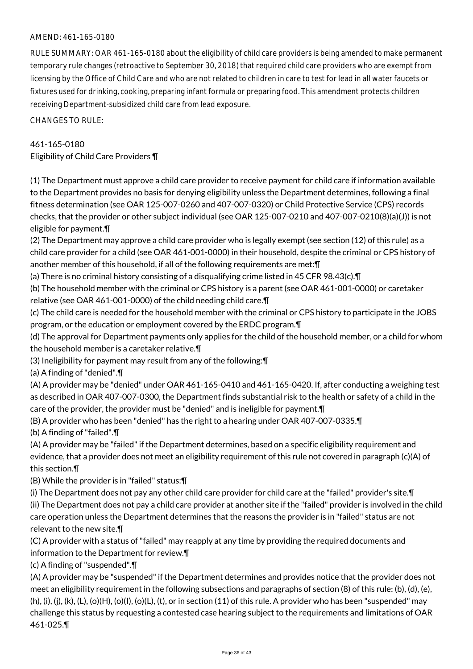## AMEND: 461-165-0180

RULE SUMMARY: OAR 461-165-0180 about the eligibility of child care providers is being amended to make permanent temporary rule changes (retroactive to September 30, 2018) that required child care providers who are exempt from licensing by the Office of Child Care and who are not related to children in care to test for lead in all water faucets or fixtures used for drinking, cooking, preparing infant formula or preparing food. This amendment protects children receiving Department-subsidized child care from lead exposure.

CHANGES TO RULE:

## 461-165-0180

Eligibility of Child Care Providers ¶

(1) The Department must approve a child care provider to receive payment for child care if information available to the Department provides no basis for denying eligibility unless the Department determines, following a final fitness determination (see OAR 125-007-0260 and 407-007-0320) or Child Protective Service (CPS) records checks, that the provider or other subject individual (see OAR 125-007-0210 and 407-007-0210(8)(a)(J)) is not eligible for payment.¶

(2) The Department may approve a child care provider who is legally exempt (see section (12) of this rule) as a child care provider for a child (see OAR 461-001-0000) in their household, despite the criminal or CPS history of another member of this household, if all of the following requirements are met:¶

(a) There is no criminal history consisting of a disqualifying crime listed in 45 CFR 98.43(c).¶

(b) The household member with the criminal or CPS history is a parent (see OAR 461-001-0000) or caretaker relative (see OAR 461-001-0000) of the child needing child care.¶

(c) The child care is needed for the household member with the criminal or CPS history to participate in the JOBS program, or the education or employment covered by the ERDC program.¶

(d) The approval for Department payments only applies for the child of the household member, or a child for whom the household member is a caretaker relative.¶

(3) Ineligibility for payment may result from any of the following:¶

(a) A finding of "denied".¶

(A) A provider may be "denied" under OAR 461-165-0410 and 461-165-0420. If, after conducting a weighing test as described in OAR 407-007-0300, the Department finds substantial risk to the health or safety of a child in the care of the provider, the provider must be "denied" and is ineligible for payment.¶

(B) A provider who has been "denied" has the right to a hearing under OAR 407-007-0335.¶

(b) A finding of "failed".¶

(A) A provider may be "failed" if the Department determines, based on a specific eligibility requirement and evidence, that a provider does not meet an eligibility requirement of this rule not covered in paragraph (c)(A) of this section.¶

(B) While the provider is in "failed" status:¶

(i) The Department does not pay any other child care provider for child care at the "failed" provider's site.¶ (ii) The Department does not pay a child care provider at another site if the "failed" provider is involved in the child care operation unless the Department determines that the reasons the provider is in "failed" status are not relevant to the new site.¶

(C) A provider with a status of "failed" may reapply at any time by providing the required documents and information to the Department for review.¶

(c) A finding of "suspended".¶

(A) A provider may be "suspended" if the Department determines and provides notice that the provider does not meet an eligibility requirement in the following subsections and paragraphs of section (8) of this rule: (b), (d), (e), (h), (i), (j), (k), (L), (o)(H), (o)(l), (o)(L), (t), or in section (11) of this rule. A provider who has been "suspended" may challenge this status by requesting a contested case hearing subject to the requirements and limitations of OAR 461-025.¶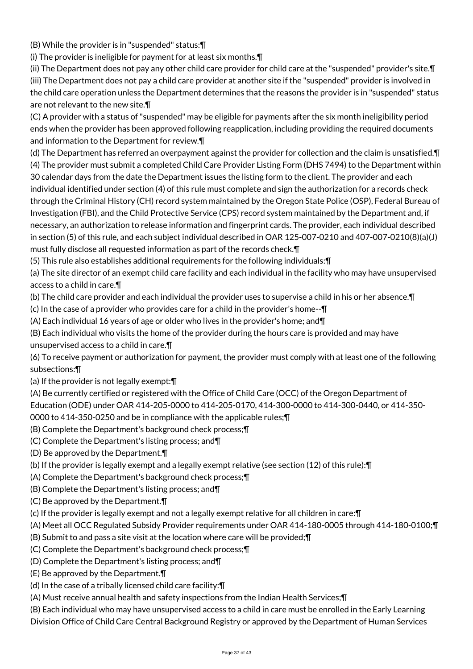(B) While the provider is in "suspended" status:¶

(i) The provider is ineligible for payment for at least six months.¶

(ii) The Department does not pay any other child care provider for child care at the "suspended" provider's site.¶ (iii) The Department does not pay a child care provider at another site if the "suspended" provider is involved in the child care operation unless the Department determines that the reasons the provider is in "suspended" status are not relevant to the new site.¶

(C) A provider with a status of "suspended" may be eligible for payments after the six month ineligibility period ends when the provider has been approved following reapplication, including providing the required documents and information to the Department for review.¶

(d) The Department has referred an overpayment against the provider for collection and the claim is unsatisfied.¶ (4) The provider must submit a completed Child Care Provider Listing Form (DHS 7494) to the Department within 30 calendar days from the date the Department issues the listing form to the client. The provider and each individual identified under section (4) of this rule must complete and sign the authorization for a records check through the Criminal History (CH) record system maintained by the Oregon State Police (OSP), Federal Bureau of Investigation (FBI), and the Child Protective Service (CPS) record system maintained by the Department and, if necessary, an authorization to release information and fingerprint cards. The provider, each individual described in section (5) of this rule, and each subject individual described in OAR 125-007-0210 and 407-007-0210(8)(a)(J) must fully disclose all requested information as part of the records check.¶

(5) This rule also establishes additional requirements for the following individuals:¶

(a) The site director of an exempt child care facility and each individual in the facility who may have unsupervised access to a child in care.¶

(b) The child care provider and each individual the provider uses to supervise a child in his or her absence.¶

(c) In the case of a provider who provides care for a child in the provider's home--¶

(A) Each individual 16 years of age or older who lives in the provider's home; and¶

(B) Each individual who visits the home of the provider during the hours care is provided and may have unsupervised access to a child in care.¶

(6) To receive payment or authorization for payment, the provider must comply with at least one of the following subsections:¶

(a) If the provider is not legally exempt:¶

(A) Be currently certified or registered with the Office of Child Care (OCC) of the Oregon Department of Education (ODE) under OAR 414-205-0000 to 414-205-0170, 414-300-0000 to 414-300-0440, or 414-350-

0000 to 414-350-0250 and be in compliance with the applicable rules;¶

(B) Complete the Department's background check process;¶

(C) Complete the Department's listing process; and¶

(D) Be approved by the Department.¶

(b) If the provider is legally exempt and a legally exempt relative (see section (12) of this rule):¶

(A) Complete the Department's background check process;¶

- (B) Complete the Department's listing process; and¶
- (C) Be approved by the Department.¶

(c) If the provider is legally exempt and not a legally exempt relative for all children in care:¶

(A) Meet all OCC Regulated Subsidy Provider requirements under OAR 414-180-0005 through 414-180-0100;¶

- (B) Submit to and pass a site visit at the location where care will be provided;¶
- (C) Complete the Department's background check process;¶
- (D) Complete the Department's listing process; and¶
- (E) Be approved by the Department.¶
- (d) In the case of a tribally licensed child care facility:¶

(A) Must receive annual health and safety inspections from the Indian Health Services;¶

(B) Each individual who may have unsupervised access to a child in care must be enrolled in the Early Learning

Division Office of Child Care Central Background Registry or approved by the Department of Human Services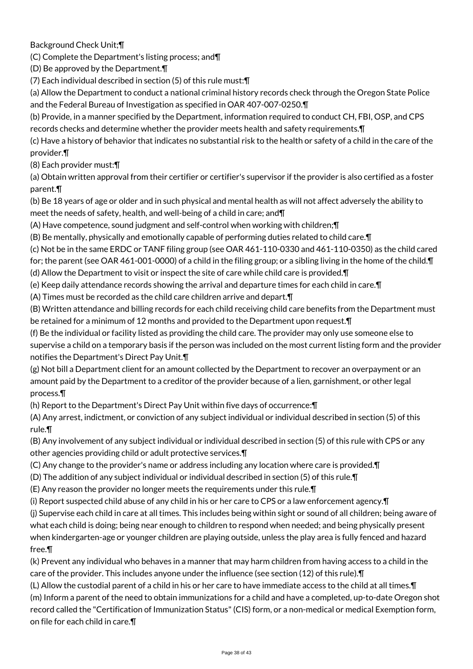Background Check Unit;¶

(C) Complete the Department's listing process; and¶

(D) Be approved by the Department.¶

(7) Each individual described in section (5) of this rule must:¶

(a) Allow the Department to conduct a national criminal history records check through the Oregon State Police and the Federal Bureau of Investigation as specified in OAR 407-007-0250.¶

(b) Provide, in a manner specified by the Department, information required to conduct CH, FBI, OSP, and CPS records checks and determine whether the provider meets health and safety requirements.¶

(c) Have a history of behavior that indicates no substantial risk to the health or safety of a child in the care of the provider.¶

(8) Each provider must:¶

(a) Obtain written approval from their certifier or certifier's supervisor if the provider is also certified as a foster parent.¶

(b) Be 18 years of age or older and in such physical and mental health as will not affect adversely the ability to meet the needs of safety, health, and well-being of a child in care; and¶

(A) Have competence, sound judgment and self-control when working with children;¶

(B) Be mentally, physically and emotionally capable of performing duties related to child care.¶

(c) Not be in the same ERDC or TANF filing group (see OAR 461-110-0330 and 461-110-0350) as the child cared

for; the parent (see OAR 461-001-0000) of a child in the filing group; or a sibling living in the home of the child.  $\P$ 

(d) Allow the Department to visit or inspect the site of care while child care is provided.¶

(e) Keep daily attendance records showing the arrival and departure times for each child in care.¶

(A) Times must be recorded as the child care children arrive and depart.¶

(B) Written attendance and billing records for each child receiving child care benefits from the Department must be retained for a minimum of 12 months and provided to the Department upon request.¶

(f) Be the individual or facility listed as providing the child care. The provider may only use someone else to supervise a child on a temporary basis if the person was included on the most current listing form and the provider notifies the Department's Direct Pay Unit.¶

(g) Not bill a Department client for an amount collected by the Department to recover an overpayment or an amount paid by the Department to a creditor of the provider because of a lien, garnishment, or other legal process.¶

(h) Report to the Department's Direct Pay Unit within five days of occurrence:¶

(A) Any arrest, indictment, or conviction of any subject individual or individual described in section (5) of this rule.¶

(B) Any involvement of any subject individual or individual described in section (5) of this rule with CPS or any other agencies providing child or adult protective services.¶

(C) Any change to the provider's name or address including any location where care is provided.¶

(D) The addition of any subject individual or individual described in section (5) of this rule.¶

(E) Any reason the provider no longer meets the requirements under this rule.¶

(i) Report suspected child abuse of any child in his or her care to CPS or a law enforcement agency.¶

(j) Supervise each child in care at all times. This includes being within sight or sound of all children; being aware of what each child is doing; being near enough to children to respond when needed; and being physically present when kindergarten-age or younger children are playing outside, unless the play area is fully fenced and hazard free.¶

(k) Prevent any individual who behaves in a manner that may harm children from having access to a child in the care of the provider. This includes anyone under the influence (see section (12) of this rule).¶

(L) Allow the custodial parent of a child in his or her care to have immediate access to the child at all times.¶ (m) Inform a parent of the need to obtain immunizations for a child and have a completed, up-to-date Oregon shot record called the "Certification of Immunization Status" (CIS) form, or a non-medical or medical Exemption form, on file for each child in care.¶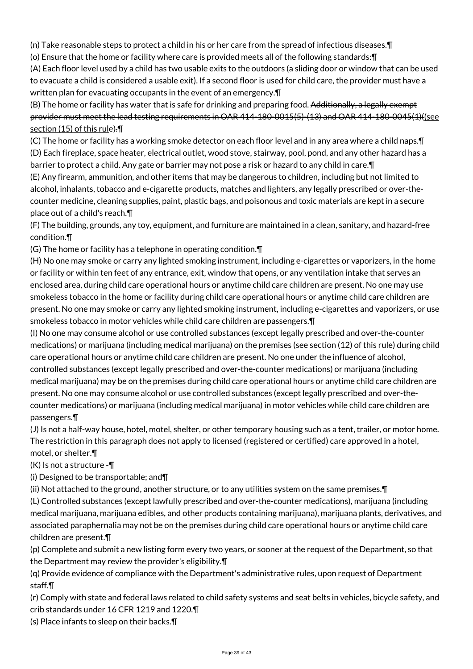(n) Take reasonable steps to protect a child in his or her care from the spread of infectious diseases.¶

(o) Ensure that the home or facility where care is provided meets all of the following standards:¶

(A) Each floor level used by a child has two usable exits to the outdoors (a sliding door or window that can be used to evacuate a child is considered a usable exit). If a second floor is used for child care, the provider must have a written plan for evacuating occupants in the event of an emergency.¶

(B) The home or facility has water that is safe for drinking and preparing food. Additionally, a legally exempt provider must meet the lead testing requirements in OAR 414-180-0015(5)-(13) and OAR 414-180-0045(1)((see section (15) of this rule).¶

(C) The home or facility has a working smoke detector on each floor level and in any area where a child naps.¶ (D) Each fireplace, space heater, electrical outlet, wood stove, stairway, pool, pond, and any other hazard has a barrier to protect a child. Any gate or barrier may not pose a risk or hazard to any child in care. In

(E) Any firearm, ammunition, and other items that may be dangerous to children, including but not limited to alcohol, inhalants, tobacco and e-cigarette products, matches and lighters, any legally prescribed or over-thecounter medicine, cleaning supplies, paint, plastic bags, and poisonous and toxic materials are kept in a secure place out of a child's reach.¶

(F) The building, grounds, any toy, equipment, and furniture are maintained in a clean, sanitary, and hazard-free condition.¶

(G) The home or facility has a telephone in operating condition.¶

(H) No one may smoke or carry any lighted smoking instrument, including e-cigarettes or vaporizers, in the home or facility or within ten feet of any entrance, exit, window that opens, or any ventilation intake that serves an enclosed area, during child care operational hours or anytime child care children are present. No one may use smokeless tobacco in the home or facility during child care operational hours or anytime child care children are present. No one may smoke or carry any lighted smoking instrument, including e-cigarettes and vaporizers, or use smokeless tobacco in motor vehicles while child care children are passengers.¶

(I) No one may consume alcohol or use controlled substances (except legally prescribed and over-the-counter medications) or marijuana (including medical marijuana) on the premises (see section (12) of this rule) during child care operational hours or anytime child care children are present. No one under the influence of alcohol, controlled substances (except legally prescribed and over-the-counter medications) or marijuana (including medical marijuana) may be on the premises during child care operational hours or anytime child care children are present. No one may consume alcohol or use controlled substances (except legally prescribed and over-thecounter medications) or marijuana (including medical marijuana) in motor vehicles while child care children are passengers.¶

(J) Is not a half-way house, hotel, motel, shelter, or other temporary housing such as a tent, trailer, or motor home. The restriction in this paragraph does not apply to licensed (registered or certified) care approved in a hotel, motel, or shelter.¶

(K) Is not a structure -¶

(i) Designed to be transportable; and¶

(ii) Not attached to the ground, another structure, or to any utilities system on the same premises.¶

(L) Controlled substances (except lawfully prescribed and over-the-counter medications), marijuana (including medical marijuana, marijuana edibles, and other products containing marijuana), marijuana plants, derivatives, and associated paraphernalia may not be on the premises during child care operational hours or anytime child care children are present.¶

(p) Complete and submit a new listing form every two years, or sooner at the request of the Department, so that the Department may review the provider's eligibility.¶

(q) Provide evidence of compliance with the Department's administrative rules, upon request of Department staff.¶

(r) Comply with state and federal laws related to child safety systems and seat belts in vehicles, bicycle safety, and crib standards under 16 CFR 1219 and 1220.¶

(s) Place infants to sleep on their backs.¶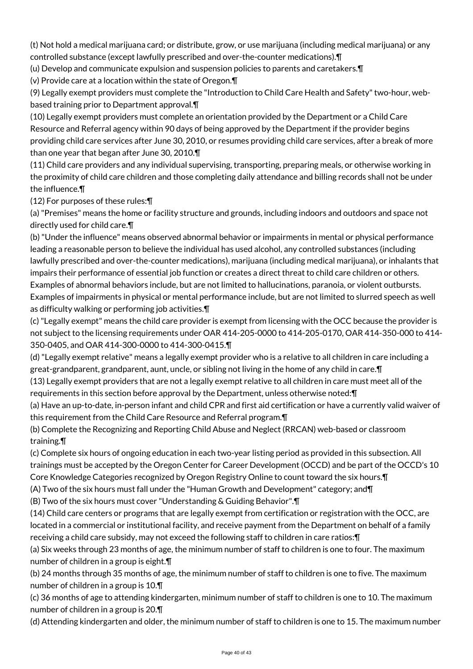(t) Not hold a medical marijuana card; or distribute, grow, or use marijuana (including medical marijuana) or any controlled substance (except lawfully prescribed and over-the-counter medications).¶

(u) Develop and communicate expulsion and suspension policies to parents and caretakers.¶

(v) Provide care at a location within the state of Oregon.¶

(9) Legally exempt providers must complete the "Introduction to Child Care Health and Safety" two-hour, webbased training prior to Department approval.¶

(10) Legally exempt providers must complete an orientation provided by the Department or a Child Care Resource and Referral agency within 90 days of being approved by the Department if the provider begins providing child care services after June 30, 2010, or resumes providing child care services, after a break of more than one year that began after June 30, 2010.¶

(11) Child care providers and any individual supervising, transporting, preparing meals, or otherwise working in the proximity of child care children and those completing daily attendance and billing records shall not be under the influence.¶

(12) For purposes of these rules:¶

(a) "Premises" means the home or facility structure and grounds, including indoors and outdoors and space not directly used for child care.¶

(b) "Under the influence" means observed abnormal behavior or impairments in mental or physical performance leading a reasonable person to believe the individual has used alcohol, any controlled substances (including lawfully prescribed and over-the-counter medications), marijuana (including medical marijuana), or inhalants that impairs their performance of essential job function or creates a direct threat to child care children or others. Examples of abnormal behaviors include, but are not limited to hallucinations, paranoia, or violent outbursts. Examples of impairments in physical or mental performance include, but are not limited to slurred speech as well as difficulty walking or performing job activities.¶

(c) "Legally exempt" means the child care provider is exempt from licensing with the OCC because the provider is not subject to the licensing requirements under OAR 414-205-0000 to 414-205-0170, OAR 414-350-000 to 414- 350-0405, and OAR 414-300-0000 to 414-300-0415.¶

(d) "Legally exempt relative" means a legally exempt provider who is a relative to all children in care including a great-grandparent, grandparent, aunt, uncle, or sibling not living in the home of any child in care.¶

(13) Legally exempt providers that are not a legally exempt relative to all children in care must meet all of the requirements in this section before approval by the Department, unless otherwise noted:¶

(a) Have an up-to-date, in-person infant and child CPR and first aid certification or have a currently valid waiver of this requirement from the Child Care Resource and Referral program.¶

(b) Complete the Recognizing and Reporting Child Abuse and Neglect (RRCAN) web-based or classroom training.¶

(c) Complete six hours of ongoing education in each two-year listing period as provided in this subsection. All trainings must be accepted by the Oregon Center for Career Development (OCCD) and be part of the OCCD's 10 Core Knowledge Categories recognized by Oregon Registry Online to count toward the six hours.¶

(A) Two of the six hours must fall under the "Human Growth and Development" category; and¶

(B) Two of the six hours must cover "Understanding & Guiding Behavior".¶

(14) Child care centers or programs that are legally exempt from certification or registration with the OCC, are located in a commercial or institutional facility, and receive payment from the Department on behalf of a family receiving a child care subsidy, may not exceed the following staff to children in care ratios:¶

(a) Six weeks through 23 months of age, the minimum number of staff to children is one to four. The maximum number of children in a group is eight.¶

(b) 24 months through 35 months of age, the minimum number of staff to children is one to five. The maximum number of children in a group is 10.¶

(c) 36 months of age to attending kindergarten, minimum number of staff to children is one to 10. The maximum number of children in a group is 20.¶

(d) Attending kindergarten and older, the minimum number of staff to children is one to 15. The maximum number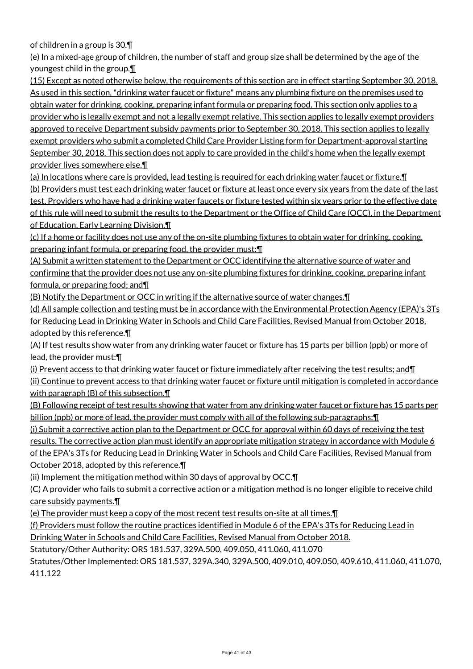of children in a group is 30.¶

(e) In a mixed-age group of children, the number of staff and group size shall be determined by the age of the youngest child in the group.¶

(15) Except as noted otherwise below, the requirements of this section are in effect starting September 30, 2018. As used in this section, "drinking water faucet or fixture" means any plumbing fixture on the premises used to obtain water for drinking, cooking, preparing infant formula or preparing food. This section only applies to a provider who is legally exempt and not a legally exempt relative. This section applies to legally exempt providers approved to receive Department subsidy payments prior to September 30, 2018. This section applies to legally exempt providers who submit a completed Child Care Provider Listing form for Department-approval starting September 30, 2018. This section does not apply to care provided in the child's home when the legally exempt provider lives somewhere else.¶

(a) In locations where care is provided, lead testing is required for each drinking water faucet or fixture.¶ (b) Providers must test each drinking water faucet or fixture at least once every six years from the date of the last test. Providers who have had a drinking water faucets or fixture tested within six years prior to the effective date of this rule will need to submit the results to the Department or the Office of Child Care (OCC), in the Department of Education, Early Learning Division.¶

(c) If a home or facility does not use any of the on-site plumbing fixtures to obtain water for drinking, cooking, preparing infant formula, or preparing food, the provider must:¶

(A) Submit a written statement to the Department or OCC identifying the alternative source of water and confirming that the provider does not use any on-site plumbing fixtures for drinking, cooking, preparing infant formula, or preparing food; and¶

(B) Notify the Department or OCC in writing if the alternative source of water changes.¶

(d) All sample collection and testing must be in accordance with the Environmental Protection Agency (EPA)'s 3Ts for Reducing Lead in Drinking Water in Schools and Child Care Facilities, Revised Manual from October 2018, adopted by this reference.¶

(A) If test results show water from any drinking water faucet or fixture has 15 parts per billion (ppb) or more of lead, the provider must:¶

(i) Prevent access to that drinking water faucet or fixture immediately after receiving the test results; and¶ (ii) Continue to prevent access to that drinking water faucet or fixture until mitigation is completed in accordance with paragraph (B) of this subsection.

(B) Following receipt of test results showing that water from any drinking water faucet or fixture has 15 parts per billion (ppb) or more of lead, the provider must comply with all of the following sub-paragraphs:¶

(i) Submit a corrective action plan to the Department or OCC for approval within 60 days of receiving the test results. The corrective action plan must identify an appropriate mitigation strategy in accordance with Module 6 of the EPA's 3Ts for Reducing Lead in Drinking Water in Schools and Child Care Facilities, Revised Manual from October 2018, adopted by this reference.¶

(ii) Implement the mitigation method within 30 days of approval by OCC.¶

(C) A provider who fails to submit a corrective action or a mitigation method is no longer eligible to receive child care subsidy payments.¶

(e) The provider must keep a copy of the most recent test results on-site at all times.¶

(f) Providers must follow the routine practices identified in Module 6 of the EPA's 3Ts for Reducing Lead in Drinking Water in Schools and Child Care Facilities, Revised Manual from October 2018.

Statutory/Other Authority: ORS 181.537, 329A.500, 409.050, 411.060, 411.070

Statutes/Other Implemented: ORS 181.537, 329A.340, 329A.500, 409.010, 409.050, 409.610, 411.060, 411.070, 411.122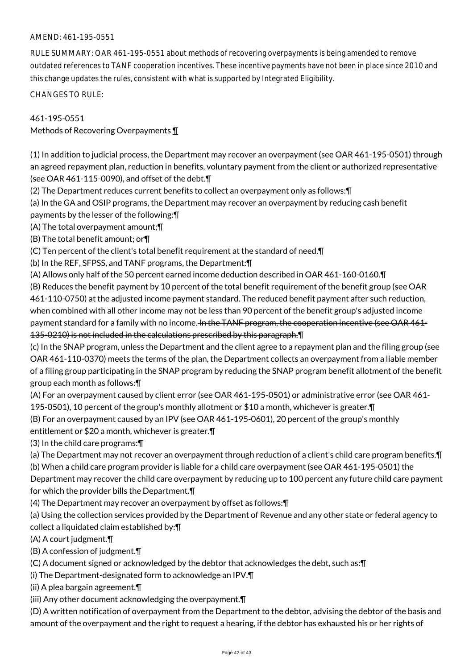## AMEND: 461-195-0551

RULE SUMMARY: OAR 461-195-0551 about methods of recovering overpayments is being amended to remove outdated references to TANF cooperation incentives. These incentive payments have not been in place since 2010 and this change updates the rules, consistent with what is supported by Integrated Eligibility.

CHANGES TO RULE:

## 461-195-0551

Methods of Recovering Overpayments ¶

(1) In addition to judicial process, the Department may recover an overpayment (see OAR 461-195-0501) through an agreed repayment plan, reduction in benefits, voluntary payment from the client or authorized representative (see OAR 461-115-0090), and offset of the debt.¶

(2) The Department reduces current benefits to collect an overpayment only as follows:¶

(a) In the GA and OSIP programs, the Department may recover an overpayment by reducing cash benefit

payments by the lesser of the following:¶

(A) The total overpayment amount;¶

(B) The total benefit amount; or¶

(C) Ten percent of the client's total benefit requirement at the standard of need.¶

(b) In the REF, SFPSS, and TANF programs, the Department:¶

(A) Allows only half of the 50 percent earned income deduction described in OAR 461-160-0160.¶

(B) Reduces the benefit payment by 10 percent of the total benefit requirement of the benefit group (see OAR 461-110-0750) at the adjusted income payment standard. The reduced benefit payment after such reduction, when combined with all other income may not be less than 90 percent of the benefit group's adjusted income payment standard for a family with no income. In the TANF program, the cooperation incentive (see OAR 461-135-0210) is not included in the calculations prescribed by this paragraph.¶

(c) In the SNAP program, unless the Department and the client agree to a repayment plan and the filing group (see OAR 461-110-0370) meets the terms of the plan, the Department collects an overpayment from a liable member of a filing group participating in the SNAP program by reducing the SNAP program benefit allotment of the benefit group each month as follows:¶

(A) For an overpayment caused by client error (see OAR 461-195-0501) or administrative error (see OAR 461- 195-0501), 10 percent of the group's monthly allotment or \$10 a month, whichever is greater.¶

(B) For an overpayment caused by an IPV (see OAR 461-195-0601), 20 percent of the group's monthly

entitlement or \$20 a month, whichever is greater.¶

(3) In the child care programs:¶

(a) The Department may not recover an overpayment through reduction of a client's child care program benefits.¶

(b) When a child care program provider is liable for a child care overpayment (see OAR 461-195-0501) the

Department may recover the child care overpayment by reducing up to 100 percent any future child care payment for which the provider bills the Department.¶

(4) The Department may recover an overpayment by offset as follows:¶

(a) Using the collection services provided by the Department of Revenue and any other state or federal agency to collect a liquidated claim established by:¶

(A) A court judgment.¶

(B) A confession of judgment.¶

(C) A document signed or acknowledged by the debtor that acknowledges the debt, such as:¶

(i) The Department-designated form to acknowledge an IPV.¶

(ii) A plea bargain agreement.¶

(iii) Any other document acknowledging the overpayment.¶

(D) A written notification of overpayment from the Department to the debtor, advising the debtor of the basis and amount of the overpayment and the right to request a hearing, if the debtor has exhausted his or her rights of